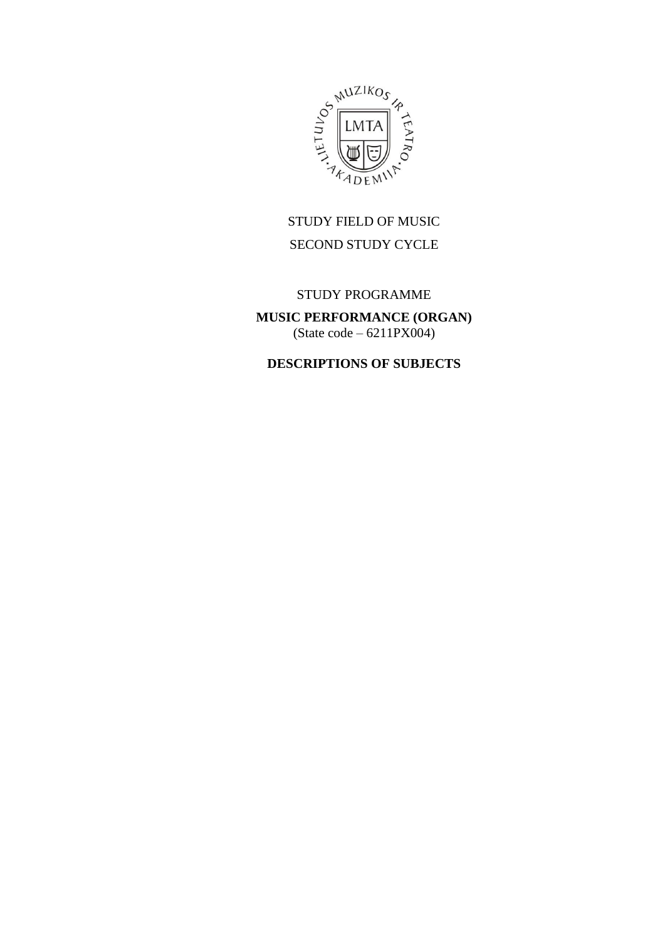

# STUDY FIELD OF MUSIC SECOND STUDY CYCLE

## STUDY PROGRAMME

**MUSIC PERFORMANCE (ORGAN)** (State code – 6211PX004)

## **DESCRIPTIONS OF SUBJECTS**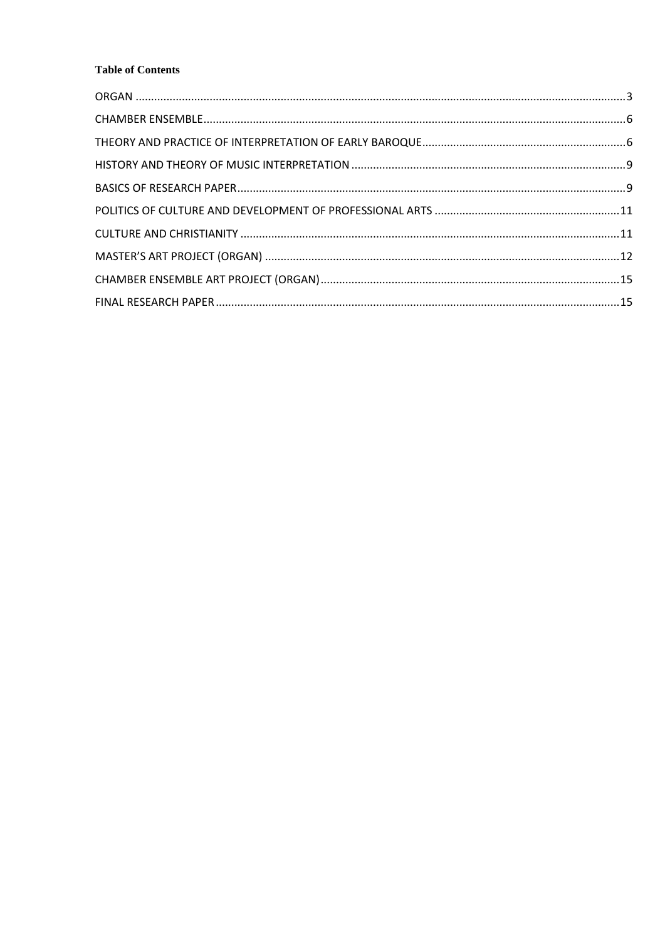#### **Table of Contents**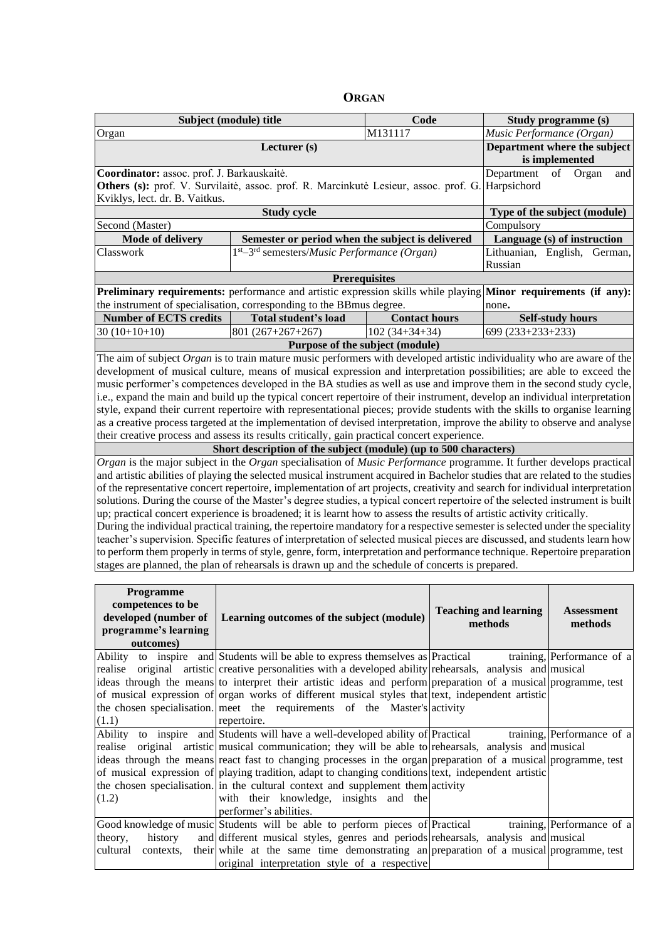| ORGAN |
|-------|
|-------|

<span id="page-2-0"></span>

|                                                                                      | Subject (module) title                                                                                                         | Code<br>M131117      |                                                |                              | Study programme (s)          |
|--------------------------------------------------------------------------------------|--------------------------------------------------------------------------------------------------------------------------------|----------------------|------------------------------------------------|------------------------------|------------------------------|
| Organ                                                                                | Lecturer (s)                                                                                                                   |                      |                                                |                              | Music Performance (Organ)    |
|                                                                                      |                                                                                                                                |                      | Department where the subject<br>is implemented |                              |                              |
| Coordinator: assoc. prof. J. Barkauskaitė.                                           | Department                                                                                                                     | of<br>Organ<br>and   |                                                |                              |                              |
| Others (s): prof. V. Survilaitė, assoc. prof. R. Marcinkutė Lesieur, assoc. prof. G. | Harpsichord                                                                                                                    |                      |                                                |                              |                              |
| Kviklys, lect. dr. B. Vaitkus.                                                       |                                                                                                                                |                      |                                                |                              |                              |
|                                                                                      | <b>Study cycle</b>                                                                                                             |                      |                                                |                              | Type of the subject (module) |
| Second (Master)                                                                      |                                                                                                                                |                      |                                                | Compulsory                   |                              |
| Mode of delivery                                                                     | Semester or period when the subject is delivered                                                                               |                      |                                                |                              | Language (s) of instruction  |
| Classwork                                                                            | $1st - 3rd$ semesters/ <i>Music Performance</i> ( <i>Organ</i> )                                                               |                      |                                                | Russian                      | Lithuanian, English, German, |
|                                                                                      | <b>Prerequisites</b>                                                                                                           |                      |                                                |                              |                              |
|                                                                                      | Preliminary requirements: performance and artistic expression skills while playing Minor requirements (if any):                |                      |                                                |                              |                              |
|                                                                                      | the instrument of specialisation, corresponding to the BBmus degree.                                                           |                      |                                                | none.                        |                              |
| <b>Number of ECTS credits</b>                                                        | <b>Total student's load</b>                                                                                                    | <b>Contact hours</b> |                                                |                              | <b>Self-study hours</b>      |
| $30(10+10+10)$                                                                       | $801(267+267+267)$                                                                                                             | $102(34+34+34)$      |                                                | 699 (233+233+233)            |                              |
|                                                                                      | Purpose of the subject (module)                                                                                                |                      |                                                |                              |                              |
|                                                                                      | The aim of subject Organ is to train mature music performers with developed artistic individuality who are aware of the        |                      |                                                |                              |                              |
|                                                                                      | development of musical culture, means of musical expression and interpretation possibilities; are able to exceed the           |                      |                                                |                              |                              |
|                                                                                      | music performer's competences developed in the BA studies as well as use and improve them in the second study cycle,           |                      |                                                |                              |                              |
|                                                                                      | i.e., expand the main and build up the typical concert repertoire of their instrument, develop an individual interpretation    |                      |                                                |                              |                              |
|                                                                                      | style, expand their current repertoire with representational pieces; provide students with the skills to organise learning     |                      |                                                |                              |                              |
|                                                                                      | as a creative process targeted at the implementation of devised interpretation, improve the ability to observe and analyse     |                      |                                                |                              |                              |
|                                                                                      | their creative process and assess its results critically, gain practical concert experience.                                   |                      |                                                |                              |                              |
|                                                                                      | Short description of the subject (module) (up to 500 characters)                                                               |                      |                                                |                              |                              |
|                                                                                      | Organ is the major subject in the Organ specialisation of Music Performance programme. It further develops practical           |                      |                                                |                              |                              |
|                                                                                      | and artistic abilities of playing the selected musical instrument acquired in Bachelor studies that are related to the studies |                      |                                                |                              |                              |
|                                                                                      | of the representative concert repertoire, implementation of art projects, creativity and search for individual interpretation  |                      |                                                |                              |                              |
|                                                                                      | solutions. During the course of the Master's degree studies, a typical concert repertoire of the selected instrument is built  |                      |                                                |                              |                              |
|                                                                                      | up; practical concert experience is broadened; it is learnt how to assess the results of artistic activity critically.         |                      |                                                |                              |                              |
|                                                                                      | During the individual practical training, the repertoire mandatory for a respective semester is selected under the speciality  |                      |                                                |                              |                              |
|                                                                                      | teacher's supervision. Specific features of interpretation of selected musical pieces are discussed, and students learn how    |                      |                                                |                              |                              |
|                                                                                      | to perform them properly in terms of style, genre, form, interpretation and performance technique. Repertoire preparation      |                      |                                                |                              |                              |
|                                                                                      | stages are planned, the plan of rehearsals is drawn up and the schedule of concerts is prepared.                               |                      |                                                |                              |                              |
|                                                                                      |                                                                                                                                |                      |                                                |                              |                              |
| Programme                                                                            |                                                                                                                                |                      |                                                |                              |                              |
| competences to be                                                                    |                                                                                                                                |                      |                                                | <b>Teaching and learning</b> | <b>Assessment</b>            |
| developed (number of                                                                 | Learning outcomes of the subject (module)                                                                                      |                      |                                                | methods                      | methods                      |
| programme's learning                                                                 |                                                                                                                                |                      |                                                |                              |                              |
| outcomes)                                                                            |                                                                                                                                |                      |                                                |                              |                              |
|                                                                                      | Ability to inspire and Students will be able to express themselves as Practical                                                |                      |                                                |                              | training, Performance of a   |
|                                                                                      | realise original artistic creative personalities with a developed ability rehearsals, analysis and musical                     |                      |                                                |                              |                              |
|                                                                                      | ideas through the means to interpret their artistic ideas and perform preparation of a musical programme, test                 |                      |                                                |                              |                              |
|                                                                                      | of musical expression of organ works of different musical styles that lext, independent artistic                               |                      |                                                |                              |                              |
|                                                                                      | the chosen specialisation. meet the requirements of the Master's activity                                                      |                      |                                                |                              |                              |
| (1.1)                                                                                | repertoire.                                                                                                                    |                      |                                                |                              |                              |

| (1.1)                 | repertoire.                                                                                                    |                            |
|-----------------------|----------------------------------------------------------------------------------------------------------------|----------------------------|
|                       | Ability to inspire and Students will have a well-developed ability of Practical                                | training, Performance of a |
|                       | realise original artistic musical communication; they will be able to rehearsals, analysis and musical         |                            |
|                       | ideas through the means react fast to changing processes in the organ preparation of a musical programme, test |                            |
|                       | of musical expression of playing tradition, adapt to changing conditions text, independent artistic            |                            |
|                       | the chosen specialisation. in the cultural context and supplement them activity                                |                            |
| (1.2)                 | with their knowledge, insights and the                                                                         |                            |
|                       | performer's abilities.                                                                                         |                            |
|                       | Good knowledge of music Students will be able to perform pieces of Practical                                   | training, Performance of a |
| theory,<br>history    | and different musical styles, genres and periods rehearsals, analysis and musical                              |                            |
| cultural<br>contexts. | their while at the same time demonstrating an preparation of a musical programme, test                         |                            |
|                       | original interpretation style of a respective                                                                  |                            |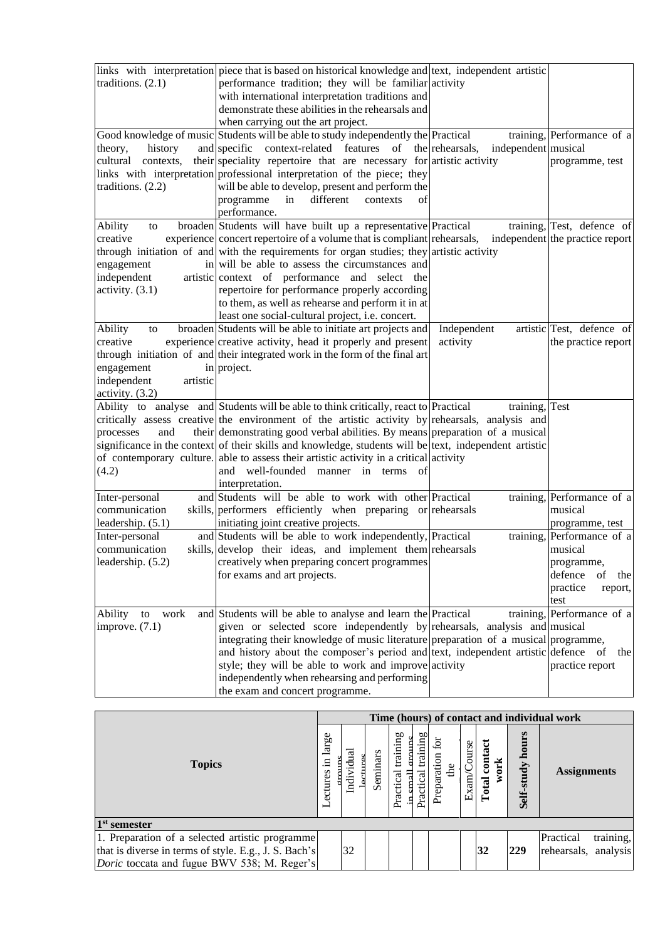|                         | links with interpretation piece that is based on historical knowledge and lext, independent artistic   |                     |                                 |
|-------------------------|--------------------------------------------------------------------------------------------------------|---------------------|---------------------------------|
| traditions. $(2.1)$     | performance tradition; they will be familiar activity                                                  |                     |                                 |
|                         | with international interpretation traditions and                                                       |                     |                                 |
|                         | demonstrate these abilities in the rehearsals and                                                      |                     |                                 |
|                         | when carrying out the art project.                                                                     |                     |                                 |
|                         | Good knowledge of music Students will be able to study independently the Practical                     |                     | training, Performance of a      |
| history<br>theory,      | and specific context-related features of the rehearsals,                                               | independent musical |                                 |
| cultural<br>contexts,   | their speciality repertoire that are necessary for artistic activity                                   |                     | programme, test                 |
|                         | links with interpretation professional interpretation of the piece; they                               |                     |                                 |
| traditions. $(2.2)$     | will be able to develop, present and perform the                                                       |                     |                                 |
|                         | different<br>programme<br>in<br>contexts<br>οf                                                         |                     |                                 |
|                         | performance.                                                                                           |                     |                                 |
|                         |                                                                                                        |                     |                                 |
| Ability<br>to           | broaden Students will have built up a representative Practical                                         |                     | training, Test, defence of      |
| creative                | experience concert repertoire of a volume that is compliant rehearsals,                                |                     | independent the practice report |
|                         | through initiation of and with the requirements for organ studies; they artistic activity              |                     |                                 |
| engagement              | in will be able to assess the circumstances and                                                        |                     |                                 |
| independent             | artistic context of performance and select the                                                         |                     |                                 |
| activity. $(3.1)$       | repertoire for performance properly according                                                          |                     |                                 |
|                         | to them, as well as rehearse and perform it in at                                                      |                     |                                 |
|                         | least one social-cultural project, i.e. concert.                                                       |                     |                                 |
| Ability<br>to           | broaden Students will be able to initiate art projects and                                             | Independent         | artistic Test, defence of       |
| creative                | experience creative activity, head it properly and present                                             | activity            | the practice report             |
|                         | through initiation of and their integrated work in the form of the final art                           |                     |                                 |
| engagement              | in project.                                                                                            |                     |                                 |
| independent<br>artistic |                                                                                                        |                     |                                 |
| activity. (3.2)         |                                                                                                        |                     |                                 |
|                         | Ability to analyse and Students will be able to think critically, react to Practical                   | training, Test      |                                 |
|                         | critically assess creative the environment of the artistic activity by rehearsals, analysis and        |                     |                                 |
| and<br>processes        | their demonstrating good verbal abilities. By means preparation of a musical                           |                     |                                 |
|                         | significance in the context of their skills and knowledge, students will be text, independent artistic |                     |                                 |
|                         | of contemporary culture. able to assess their artistic activity in a critical activity                 |                     |                                 |
| (4.2)                   | and well-founded manner in terms<br><sup>of</sup>                                                      |                     |                                 |
|                         | interpretation.                                                                                        |                     |                                 |
| Inter-personal          | and Students will be able to work with other Practical                                                 |                     | training, Performance of a      |
| communication           | skills, performers efficiently when preparing or rehearsals                                            |                     | musical                         |
| leadership. (5.1)       | initiating joint creative projects.                                                                    |                     | programme, test                 |
| Inter-personal          | and Students will be able to work independently, Practical                                             |                     | training, Performance of a      |
| communication           | skills, develop their ideas, and implement them rehearsals                                             |                     | musical                         |
|                         |                                                                                                        |                     |                                 |
| leadership. (5.2)       | creatively when preparing concert programmes                                                           |                     | programme,                      |
|                         | for exams and art projects.                                                                            |                     | defence<br>of<br>the            |
|                         |                                                                                                        |                     | practice<br>report,             |
|                         |                                                                                                        |                     | test                            |
| Ability<br>work<br>to   | and Students will be able to analyse and learn the Practical                                           |                     | training, Performance of a      |
| improve. $(7.1)$        | given or selected score independently by rehearsals, analysis and musical                              |                     |                                 |
|                         | integrating their knowledge of music literature preparation of a musical programme,                    |                     |                                 |
|                         | and history about the composer's period and text, independent artistic defence of                      |                     | the                             |
|                         | style; they will be able to work and improve activity                                                  |                     | practice report                 |
|                         | independently when rehearsing and performing                                                           |                     |                                 |
|                         | the exam and concert programme.                                                                        |                     |                                 |

|                                                       | Time (hours) of contact and individual work |        |  |          |                           |                               |                      |             |                          |                     |                        |
|-------------------------------------------------------|---------------------------------------------|--------|--|----------|---------------------------|-------------------------------|----------------------|-------------|--------------------------|---------------------|------------------------|
| <b>Topics</b>                                         |                                             | Indivi |  | Seminars | g<br>trainin<br>Practical | bО<br>trainin<br>ड<br>Practio | 효<br>Preparati<br>Ъe | Exam/Course | contact<br>work<br>Total | hours<br>Self-study | <b>Assignments</b>     |
| $1st$ semester                                        |                                             |        |  |          |                           |                               |                      |             |                          |                     |                        |
| 1. Preparation of a selected artistic programme       |                                             |        |  |          |                           |                               |                      |             |                          |                     | training,<br>Practical |
| that is diverse in terms of style. E.g., J. S. Bach's |                                             | 32     |  |          |                           |                               |                      |             | 32                       | 229                 | rehearsals, analysis   |
| <i>Doric</i> toccata and fugue BWV 538; M. Reger's    |                                             |        |  |          |                           |                               |                      |             |                          |                     |                        |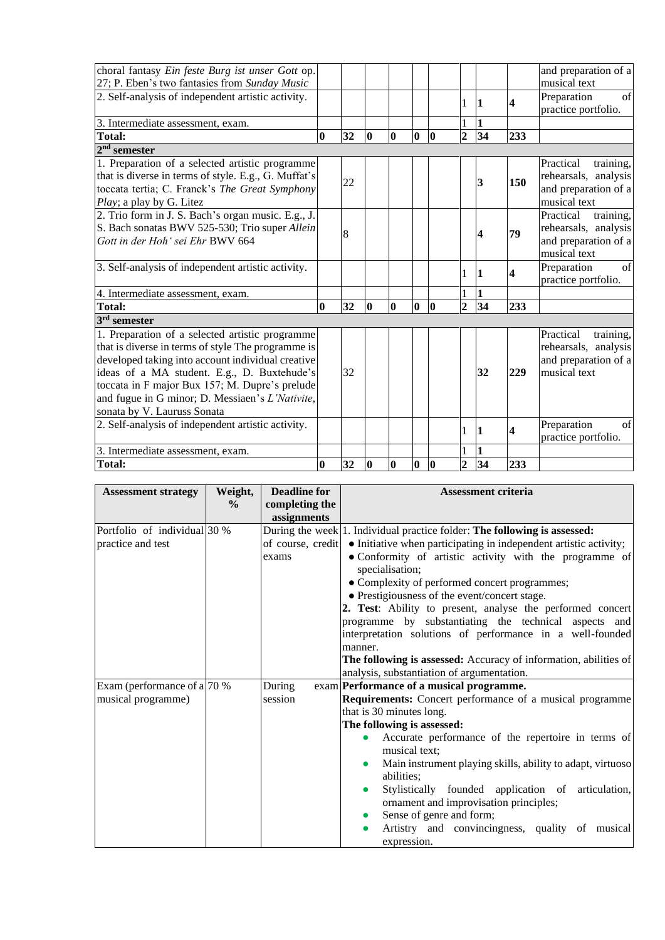| choral fantasy Ein feste Burg ist unser Gott op.<br>27; P. Eben's two fantasies from Sunday Music |          |    |          |          |          |          |                |    |                         | and preparation of a<br>musical text |
|---------------------------------------------------------------------------------------------------|----------|----|----------|----------|----------|----------|----------------|----|-------------------------|--------------------------------------|
| 2. Self-analysis of independent artistic activity.                                                |          |    |          |          |          |          |                |    |                         | Preparation<br>of                    |
|                                                                                                   |          |    |          |          |          |          | 1              | 1  | $\overline{\mathbf{4}}$ | practice portfolio.                  |
|                                                                                                   |          |    |          |          |          |          |                | 1  |                         |                                      |
| 3. Intermediate assessment, exam.                                                                 |          |    |          |          |          | $\bf{0}$ | $\overline{2}$ |    |                         |                                      |
| <b>Total:</b>                                                                                     | $\bf{0}$ | 32 | 0        | $\bf{0}$ | $\bf{0}$ |          |                | 34 | 233                     |                                      |
| $2nd$ semester                                                                                    |          |    |          |          |          |          |                |    |                         |                                      |
| 1. Preparation of a selected artistic programme                                                   |          |    |          |          |          |          |                |    |                         | Practical<br>training,               |
| that is diverse in terms of style. E.g., G. Muffat's                                              |          | 22 |          |          |          |          |                | 3  | 150                     | rehearsals, analysis                 |
| toccata tertia; C. Franck's The Great Symphony                                                    |          |    |          |          |          |          |                |    |                         | and preparation of a                 |
| <i>Play</i> ; a play by G. Litez                                                                  |          |    |          |          |          |          |                |    |                         | musical text                         |
| 2. Trio form in J. S. Bach's organ music. E.g., J.                                                |          |    |          |          |          |          |                |    |                         | training,<br>Practical               |
| S. Bach sonatas BWV 525-530; Trio super Allein                                                    |          | 8  |          |          |          |          |                | 4  | 79                      | rehearsals, analysis                 |
| Gott in der Hoh' sei Ehr BWV 664                                                                  |          |    |          |          |          |          |                |    |                         | and preparation of a                 |
|                                                                                                   |          |    |          |          |          |          |                |    |                         | musical text                         |
| 3. Self-analysis of independent artistic activity.                                                |          |    |          |          |          |          | 1              | 1  | $\overline{\mathbf{4}}$ | Preparation<br>of                    |
|                                                                                                   |          |    |          |          |          |          |                |    |                         | practice portfolio.                  |
| 4. Intermediate assessment, exam.                                                                 |          |    |          |          |          |          |                | 1  |                         |                                      |
| <b>Total:</b>                                                                                     | $\bf{0}$ | 32 | 0        | $\bf{0}$ | 10       | 0        | $\overline{2}$ | 34 | 233                     |                                      |
| $3rd$ semester                                                                                    |          |    |          |          |          |          |                |    |                         |                                      |
| 1. Preparation of a selected artistic programme                                                   |          |    |          |          |          |          |                |    |                         | Practical<br>training,               |
| that is diverse in terms of style The programme is                                                |          |    |          |          |          |          |                |    |                         | rehearsals, analysis                 |
| developed taking into account individual creative                                                 |          |    |          |          |          |          |                |    |                         | and preparation of a                 |
| ideas of a MA student. E.g., D. Buxtehude's                                                       |          | 32 |          |          |          |          |                | 32 | 229                     | musical text                         |
| toccata in F major Bux 157; M. Dupre's prelude                                                    |          |    |          |          |          |          |                |    |                         |                                      |
| and fugue in G minor; D. Messiaen's L'Nativite,                                                   |          |    |          |          |          |          |                |    |                         |                                      |
| sonata by V. Lauruss Sonata                                                                       |          |    |          |          |          |          |                |    |                         |                                      |
| 2. Self-analysis of independent artistic activity.                                                |          |    |          |          |          |          |                |    |                         | Preparation<br>$\sigma$ f            |
|                                                                                                   |          |    |          |          |          |          | 1              | 1  | 4                       | practice portfolio.                  |
| 3. Intermediate assessment, exam.                                                                 |          |    |          |          |          |          |                |    |                         |                                      |
| <b>Total:</b>                                                                                     | $\bf{0}$ | 32 | $\bf{0}$ | $\bf{0}$ | $\bf{0}$ | $\bf{0}$ | $\overline{2}$ | 34 | 233                     |                                      |

| <b>Assessment strategy</b>   | Weight,       | <b>Deadline for</b> | <b>Assessment criteria</b>                                                                  |
|------------------------------|---------------|---------------------|---------------------------------------------------------------------------------------------|
|                              | $\frac{6}{9}$ | completing the      |                                                                                             |
|                              |               | assignments         |                                                                                             |
| Portfolio of individual 30 % |               |                     | During the week 1. Individual practice folder: The following is assessed:                   |
| practice and test            |               |                     | of course, credit $\bullet$ Initiative when participating in independent artistic activity; |
|                              |               | exams               | • Conformity of artistic activity with the programme of                                     |
|                              |               |                     | specialisation;                                                                             |
|                              |               |                     | • Complexity of performed concert programmes;                                               |
|                              |               |                     | • Prestigiousness of the event/concert stage.                                               |
|                              |               |                     | 2. Test: Ability to present, analyse the performed concert                                  |
|                              |               |                     | programme by substantiating the technical aspects and                                       |
|                              |               |                     | interpretation solutions of performance in a well-founded                                   |
|                              |               |                     | manner.                                                                                     |
|                              |               |                     | The following is assessed: Accuracy of information, abilities of                            |
|                              |               |                     | analysis, substantiation of argumentation.                                                  |
| Exam (performance of a 70 %  |               | During              | exam Performance of a musical programme.                                                    |
| musical programme)           |               | session             | Requirements: Concert performance of a musical programme                                    |
|                              |               |                     | that is 30 minutes long.                                                                    |
|                              |               |                     | The following is assessed:                                                                  |
|                              |               |                     | Accurate performance of the repertoire in terms of                                          |
|                              |               |                     | musical text;                                                                               |
|                              |               |                     | Main instrument playing skills, ability to adapt, virtuoso                                  |
|                              |               |                     | abilities:                                                                                  |
|                              |               |                     | Stylistically founded application of articulation,                                          |
|                              |               |                     | ornament and improvisation principles;                                                      |
|                              |               |                     | Sense of genre and form;                                                                    |
|                              |               |                     | Artistry and convincingness, quality of musical                                             |
|                              |               |                     | expression.                                                                                 |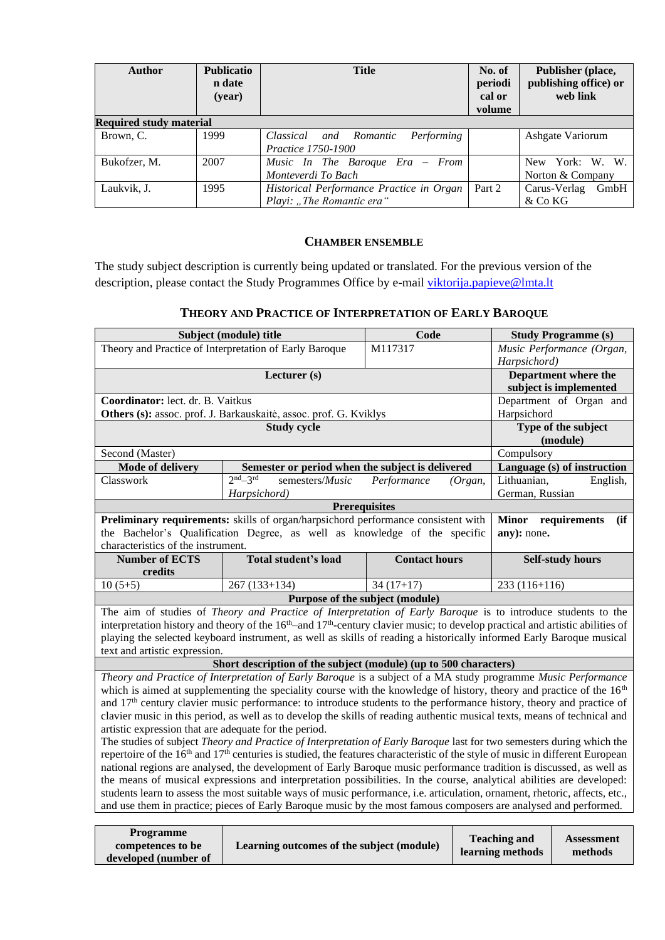| <b>Author</b>                  | <b>Publicatio</b><br>n date<br>(year) | <b>Title</b>                                                          | No. of<br>periodi<br>cal or<br>volume | Publisher (place,<br>publishing office) or<br>web link |
|--------------------------------|---------------------------------------|-----------------------------------------------------------------------|---------------------------------------|--------------------------------------------------------|
| <b>Required study material</b> |                                       |                                                                       |                                       |                                                        |
| Brown, C.                      | 1999                                  | Performing<br>Classical and Romantic<br>Practice 1750-1900            |                                       | Ashgate Variorum                                       |
| Bukofzer, M.                   | 2007                                  | Music In The Baroque $Era$ – From<br>Monteverdi To Bach               |                                       | New York: W. W.<br>Norton & Company                    |
| Laukvik, J.                    | 1995                                  | Historical Performance Practice in Organ<br>Playi: "The Romantic era" | Part 2                                | Carus-Verlag<br>GmbH<br>& Co KG                        |

#### **CHAMBER ENSEMBLE**

<span id="page-5-0"></span>The study subject description is currently being updated or translated. For the previous version of the description, please contact the Study Programmes Office by e-mail [viktorija.papieve@lmta.lt](mailto:viktorija.papieve@lmta.lt)

#### **THEORY AND PRACTICE OF INTERPRETATION OF EARLY BAROQUE**

<span id="page-5-1"></span>

|                                                                                                                                                       | Subject (module) title                                                                                                                                                                                                                               | Code                            | <b>Study Programme (s)</b>                                                                                            |  |  |  |  |  |
|-------------------------------------------------------------------------------------------------------------------------------------------------------|------------------------------------------------------------------------------------------------------------------------------------------------------------------------------------------------------------------------------------------------------|---------------------------------|-----------------------------------------------------------------------------------------------------------------------|--|--|--|--|--|
|                                                                                                                                                       | Theory and Practice of Interpretation of Early Baroque                                                                                                                                                                                               | M117317                         | Music Performance (Organ,                                                                                             |  |  |  |  |  |
|                                                                                                                                                       |                                                                                                                                                                                                                                                      |                                 | Harpsichord)                                                                                                          |  |  |  |  |  |
|                                                                                                                                                       | Lecturer (s)                                                                                                                                                                                                                                         |                                 | Department where the                                                                                                  |  |  |  |  |  |
|                                                                                                                                                       |                                                                                                                                                                                                                                                      |                                 | subject is implemented                                                                                                |  |  |  |  |  |
| Coordinator: lect. dr. B. Vaitkus                                                                                                                     |                                                                                                                                                                                                                                                      |                                 | Department of Organ and                                                                                               |  |  |  |  |  |
|                                                                                                                                                       | Others (s): assoc. prof. J. Barkauskaitė, assoc. prof. G. Kviklys<br><b>Study cycle</b>                                                                                                                                                              |                                 | Harpsichord                                                                                                           |  |  |  |  |  |
|                                                                                                                                                       | Type of the subject                                                                                                                                                                                                                                  |                                 |                                                                                                                       |  |  |  |  |  |
|                                                                                                                                                       |                                                                                                                                                                                                                                                      |                                 | (module)                                                                                                              |  |  |  |  |  |
| Second (Master)                                                                                                                                       |                                                                                                                                                                                                                                                      |                                 | Compulsory                                                                                                            |  |  |  |  |  |
| <b>Mode of delivery</b>                                                                                                                               | Semester or period when the subject is delivered                                                                                                                                                                                                     |                                 | Language (s) of instruction                                                                                           |  |  |  |  |  |
| Classwork                                                                                                                                             | $2nd-3rd$<br>semesters/Music                                                                                                                                                                                                                         | Performance<br>(Organ,          | Lithuanian,<br>English,                                                                                               |  |  |  |  |  |
|                                                                                                                                                       | Harpsichord)                                                                                                                                                                                                                                         |                                 | German, Russian                                                                                                       |  |  |  |  |  |
|                                                                                                                                                       |                                                                                                                                                                                                                                                      | <b>Prerequisites</b>            | <b>Minor</b><br>requirements<br>(ii)                                                                                  |  |  |  |  |  |
|                                                                                                                                                       | Preliminary requirements: skills of organ/harpsichord performance consistent with<br>the Bachelor's Qualification Degree, as well as knowledge of the specific                                                                                       |                                 |                                                                                                                       |  |  |  |  |  |
| characteristics of the instrument.                                                                                                                    |                                                                                                                                                                                                                                                      |                                 | any): none.                                                                                                           |  |  |  |  |  |
| <b>Number of ECTS</b>                                                                                                                                 | Total student's load                                                                                                                                                                                                                                 | <b>Contact hours</b>            | <b>Self-study hours</b>                                                                                               |  |  |  |  |  |
| credits                                                                                                                                               |                                                                                                                                                                                                                                                      |                                 |                                                                                                                       |  |  |  |  |  |
| $10(5+5)$                                                                                                                                             | $267(133+134)$                                                                                                                                                                                                                                       | $34(17+17)$                     | $233(116+116)$                                                                                                        |  |  |  |  |  |
|                                                                                                                                                       |                                                                                                                                                                                                                                                      | Purpose of the subject (module) |                                                                                                                       |  |  |  |  |  |
|                                                                                                                                                       | The aim of studies of Theory and Practice of Interpretation of Early Baroque is to introduce students to the                                                                                                                                         |                                 |                                                                                                                       |  |  |  |  |  |
|                                                                                                                                                       | interpretation history and theory of the $16th$ -and $17th$ -century clavier music; to develop practical and artistic abilities of                                                                                                                   |                                 |                                                                                                                       |  |  |  |  |  |
|                                                                                                                                                       | playing the selected keyboard instrument, as well as skills of reading a historically informed Early Baroque musical                                                                                                                                 |                                 |                                                                                                                       |  |  |  |  |  |
| text and artistic expression.                                                                                                                         |                                                                                                                                                                                                                                                      |                                 |                                                                                                                       |  |  |  |  |  |
|                                                                                                                                                       | Short description of the subject (module) (up to 500 characters)                                                                                                                                                                                     |                                 |                                                                                                                       |  |  |  |  |  |
|                                                                                                                                                       | Theory and Practice of Interpretation of Early Baroque is a subject of a MA study programme Music Performance                                                                                                                                        |                                 |                                                                                                                       |  |  |  |  |  |
|                                                                                                                                                       | which is aimed at supplementing the speciality course with the knowledge of history, theory and practice of the $16th$                                                                                                                               |                                 |                                                                                                                       |  |  |  |  |  |
|                                                                                                                                                       | and $17th$ century clavier music performance: to introduce students to the performance history, theory and practice of                                                                                                                               |                                 |                                                                                                                       |  |  |  |  |  |
|                                                                                                                                                       | clavier music in this period, as well as to develop the skills of reading authentic musical texts, means of technical and                                                                                                                            |                                 |                                                                                                                       |  |  |  |  |  |
|                                                                                                                                                       | artistic expression that are adequate for the period.                                                                                                                                                                                                |                                 |                                                                                                                       |  |  |  |  |  |
|                                                                                                                                                       |                                                                                                                                                                                                                                                      |                                 | The studies of subject Theory and Practice of Interpretation of Early Baroque last for two semesters during which the |  |  |  |  |  |
| repertoire of the 16 <sup>th</sup> and 17 <sup>th</sup> centuries is studied, the features characteristic of the style of music in different European |                                                                                                                                                                                                                                                      |                                 |                                                                                                                       |  |  |  |  |  |
| national regions are analysed, the development of Early Baroque music performance tradition is discussed, as well as                                  |                                                                                                                                                                                                                                                      |                                 |                                                                                                                       |  |  |  |  |  |
|                                                                                                                                                       |                                                                                                                                                                                                                                                      |                                 |                                                                                                                       |  |  |  |  |  |
|                                                                                                                                                       | the means of musical expressions and interpretation possibilities. In the course, analytical abilities are developed:<br>students learn to assess the most suitable ways of music performance, i.e. articulation, ornament, rhetoric, affects, etc., |                                 |                                                                                                                       |  |  |  |  |  |

| <b>Programme</b>     |                                           | <b>Teaching and</b> | <b>Assessment</b> |
|----------------------|-------------------------------------------|---------------------|-------------------|
| competences to be    | Learning outcomes of the subject (module) | learning methods    | methods           |
| developed (number of |                                           |                     |                   |

and use them in practice; pieces of Early Baroque music by the most famous composers are analysed and performed.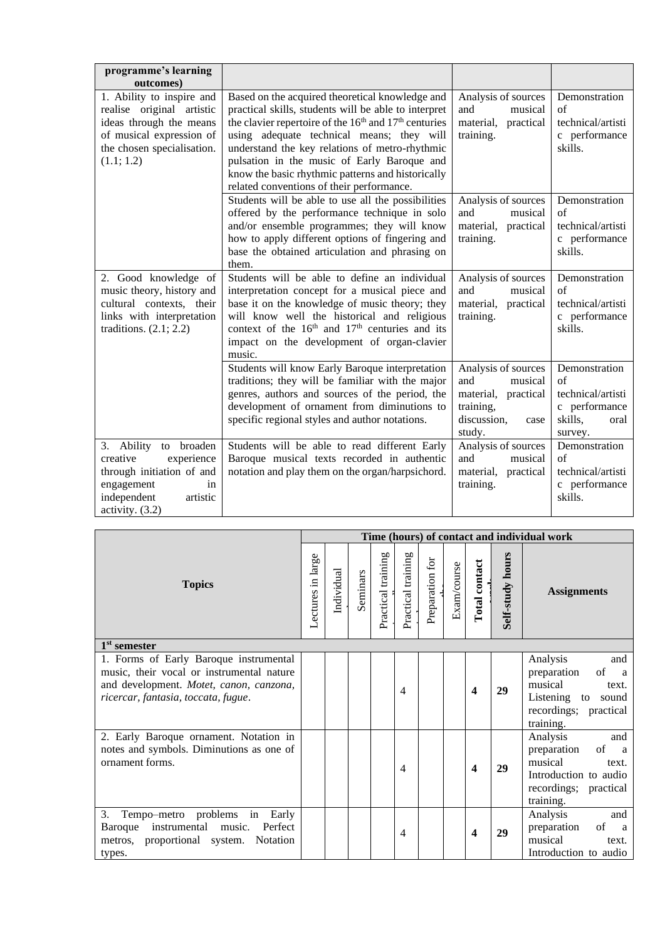| programme's learning                                                                                                                                                   |                                                                                                                                                                                                                                                                                                                                                                                                                                          |                                                                                                            |                                                                                                 |
|------------------------------------------------------------------------------------------------------------------------------------------------------------------------|------------------------------------------------------------------------------------------------------------------------------------------------------------------------------------------------------------------------------------------------------------------------------------------------------------------------------------------------------------------------------------------------------------------------------------------|------------------------------------------------------------------------------------------------------------|-------------------------------------------------------------------------------------------------|
| outcomes)<br>1. Ability to inspire and<br>realise original artistic<br>ideas through the means<br>of musical expression of<br>the chosen specialisation.<br>(1.1; 1.2) | Based on the acquired theoretical knowledge and<br>practical skills, students will be able to interpret<br>the clavier repertoire of the 16 <sup>th</sup> and 17 <sup>th</sup> centuries<br>using adequate technical means; they will<br>understand the key relations of metro-rhythmic<br>pulsation in the music of Early Baroque and<br>know the basic rhythmic patterns and historically<br>related conventions of their performance. | Analysis of sources<br>and<br>musical<br>material,<br>practical<br>training.                               | Demonstration<br>of<br>technical/artisti<br>c performance<br>skills.                            |
|                                                                                                                                                                        | Students will be able to use all the possibilities<br>offered by the performance technique in solo<br>and/or ensemble programmes; they will know<br>how to apply different options of fingering and<br>base the obtained articulation and phrasing on<br>them.                                                                                                                                                                           | Analysis of sources<br>and<br>musical<br>material,<br>practical<br>training.                               | Demonstration<br>of<br>technical/artisti<br>c performance<br>skills.                            |
| 2. Good knowledge of<br>music theory, history and<br>cultural contexts, their<br>links with interpretation<br>traditions. $(2.1; 2.2)$                                 | Students will be able to define an individual<br>interpretation concept for a musical piece and<br>base it on the knowledge of music theory; they<br>will know well the historical and religious<br>context of the 16 <sup>th</sup> and 17 <sup>th</sup> centuries and its<br>impact on the development of organ-clavier<br>music.                                                                                                       | Analysis of sources<br>and<br>musical<br>material, practical<br>training.                                  | Demonstration<br>of<br>technical/artisti<br>c performance<br>skills.                            |
|                                                                                                                                                                        | Students will know Early Baroque interpretation<br>traditions; they will be familiar with the major<br>genres, authors and sources of the period, the<br>development of ornament from diminutions to<br>specific regional styles and author notations.                                                                                                                                                                                   | Analysis of sources<br>and<br>musical<br>material, practical<br>training,<br>discussion,<br>case<br>study. | Demonstration<br>$\alpha$ f<br>technical/artisti<br>c performance<br>skills,<br>oral<br>survey. |
| 3. Ability to broaden<br>creative<br>experience<br>through initiation of and<br>engagement<br>in<br>independent<br>artistic<br>activity. $(3.2)$                       | Students will be able to read different Early<br>Baroque musical texts recorded in authentic<br>notation and play them on the organ/harpsichord.                                                                                                                                                                                                                                                                                         | Analysis of sources<br>and<br>musical<br>material,<br>practical<br>training.                               | Demonstration<br>$\sigma$ f<br>technical/artisti<br>c performance<br>skills.                    |

|                                                                                                                                                                       |                   |            |          |                    |                    |                 |             |               |                         | Time (hours) of contact and individual work                                                                                             |
|-----------------------------------------------------------------------------------------------------------------------------------------------------------------------|-------------------|------------|----------|--------------------|--------------------|-----------------|-------------|---------------|-------------------------|-----------------------------------------------------------------------------------------------------------------------------------------|
| <b>Topics</b>                                                                                                                                                         | Lectures in large | Individual | Seminars | Practical training | Practical training | Preparation for | Exam/course | Total contact | <b>Self-study hours</b> | <b>Assignments</b>                                                                                                                      |
| $1st$ semester                                                                                                                                                        |                   |            |          |                    |                    |                 |             |               |                         |                                                                                                                                         |
| 1. Forms of Early Baroque instrumental<br>music, their vocal or instrumental nature<br>and development. Motet, canon, canzona,<br>ricercar, fantasia, toccata, fugue. |                   |            |          |                    | 4                  |                 |             | 4             | 29                      | Analysis<br>and<br>of<br>preparation<br><sub>a</sub><br>musical<br>text.<br>Listening to sound<br>recordings; practical<br>training.    |
| 2. Early Baroque ornament. Notation in<br>notes and symbols. Diminutions as one of<br>ornament forms.                                                                 |                   |            |          |                    | 4                  |                 |             | 4             | 29                      | Analysis<br>and<br>of<br>preparation<br><sub>a</sub><br>musical<br>text.<br>Introduction to audio<br>recordings; practical<br>training. |
| 3.<br>Tempo-metro problems in Early<br>Baroque instrumental music.<br>Perfect<br>metros, proportional system.<br>Notation<br>types.                                   |                   |            |          |                    | 4                  |                 |             | 4             | 29                      | and<br>Analysis<br>of<br>preparation<br><sub>a</sub><br>musical<br>text.<br>Introduction to audio                                       |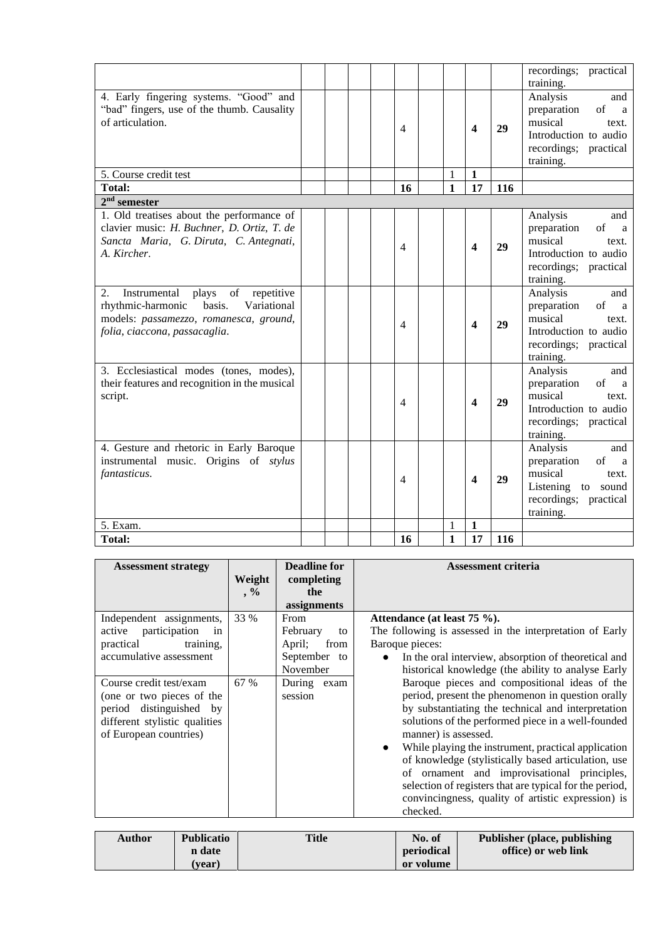|                                                                                                                                                                                  |  |    |              |                         |     | recordings; practical<br>training.                                                                                                   |
|----------------------------------------------------------------------------------------------------------------------------------------------------------------------------------|--|----|--------------|-------------------------|-----|--------------------------------------------------------------------------------------------------------------------------------------|
| 4. Early fingering systems. "Good" and<br>"bad" fingers, use of the thumb. Causality<br>of articulation.                                                                         |  | 4  |              | 4                       | 29  | Analysis<br>and<br>of<br>preparation<br>a<br>musical<br>text.<br>Introduction to audio<br>recordings; practical<br>training.         |
| 5. Course credit test                                                                                                                                                            |  |    | 1            | $\mathbf{1}$            |     |                                                                                                                                      |
| <b>Total:</b>                                                                                                                                                                    |  | 16 | $\mathbf{1}$ | 17                      | 116 |                                                                                                                                      |
| $2nd$ semester                                                                                                                                                                   |  |    |              |                         |     |                                                                                                                                      |
| 1. Old treatises about the performance of<br>clavier music: H. Buchner, D. Ortiz, T. de<br>Sancta Maria, G. Diruta, C. Antegnati,<br>A. Kircher.                                 |  | 4  |              | 4                       | 29  | Analysis<br>and<br>preparation<br>of<br>a<br>musical<br>text.<br>Introduction to audio<br>recordings; practical<br>training.         |
| 2.<br>$\sigma f$<br>Instrumental<br>plays<br>repetitive<br>rhythmic-harmonic<br>basis.<br>Variational<br>models: passamezzo, romanesca, ground,<br>folia, ciaccona, passacaglia. |  | 4  |              | $\overline{\mathbf{4}}$ | 29  | Analysis<br>and<br>preparation<br>of<br>a<br>musical<br>text.<br>Introduction to audio<br>recordings; practical<br>training.         |
| 3. Ecclesiastical modes (tones, modes),<br>their features and recognition in the musical<br>script.                                                                              |  | 4  |              | $\boldsymbol{4}$        | 29  | Analysis<br>and<br>$\sigma$ f<br>preparation<br>a<br>musical<br>text.<br>Introduction to audio<br>recordings; practical<br>training. |
| 4. Gesture and rhetoric in Early Baroque<br>instrumental music. Origins of stylus<br>fantasticus.                                                                                |  | 4  |              | $\boldsymbol{4}$        | 29  | Analysis<br>and<br>of<br>preparation<br>a<br>musical<br>text.<br>Listening to sound<br>recordings; practical<br>training.            |
| 5. Exam.                                                                                                                                                                         |  |    | 1            | 1                       |     |                                                                                                                                      |
| <b>Total:</b>                                                                                                                                                                    |  | 16 | $\mathbf{1}$ | 17                      | 116 |                                                                                                                                      |

| <b>Assessment strategy</b>                                                                                                                 | Weight<br>$, \frac{0}{0}$ | <b>Deadline for</b><br>completing<br>the<br>assignments                 | <b>Assessment criteria</b>                                                                                                                                                                                                                                                                                                                                                                                                                                                                                                                    |
|--------------------------------------------------------------------------------------------------------------------------------------------|---------------------------|-------------------------------------------------------------------------|-----------------------------------------------------------------------------------------------------------------------------------------------------------------------------------------------------------------------------------------------------------------------------------------------------------------------------------------------------------------------------------------------------------------------------------------------------------------------------------------------------------------------------------------------|
| Independent assignments,<br>participation<br>active<br>in<br>training,<br>practical<br>accumulative assessment                             | 33 %                      | From<br>February<br>to<br>from<br>April;<br>September<br>to<br>November | Attendance (at least 75 %).<br>The following is assessed in the interpretation of Early<br>Baroque pieces:<br>In the oral interview, absorption of theoretical and<br>$\bullet$<br>historical knowledge (the ability to analyse Early                                                                                                                                                                                                                                                                                                         |
| Course credit test/exam<br>(one or two pieces of the<br>period distinguished by<br>different stylistic qualities<br>of European countries) | 67 %                      | During exam<br>session                                                  | Baroque pieces and compositional ideas of the<br>period, present the phenomenon in question orally<br>by substantiating the technical and interpretation<br>solutions of the performed piece in a well-founded<br>manner) is assessed.<br>While playing the instrument, practical application<br>$\bullet$<br>of knowledge (stylistically based articulation, use<br>of ornament and improvisational principles,<br>selection of registers that are typical for the period,<br>convincingness, quality of artistic expression) is<br>checked. |

| <b>Author</b> | <b>Publicatio</b> | <b>Title</b> | No. of     | <b>Publisher (place, publishing)</b> |
|---------------|-------------------|--------------|------------|--------------------------------------|
|               | n date            |              | periodical | office) or web link                  |
|               | (vear)            |              | or volume  |                                      |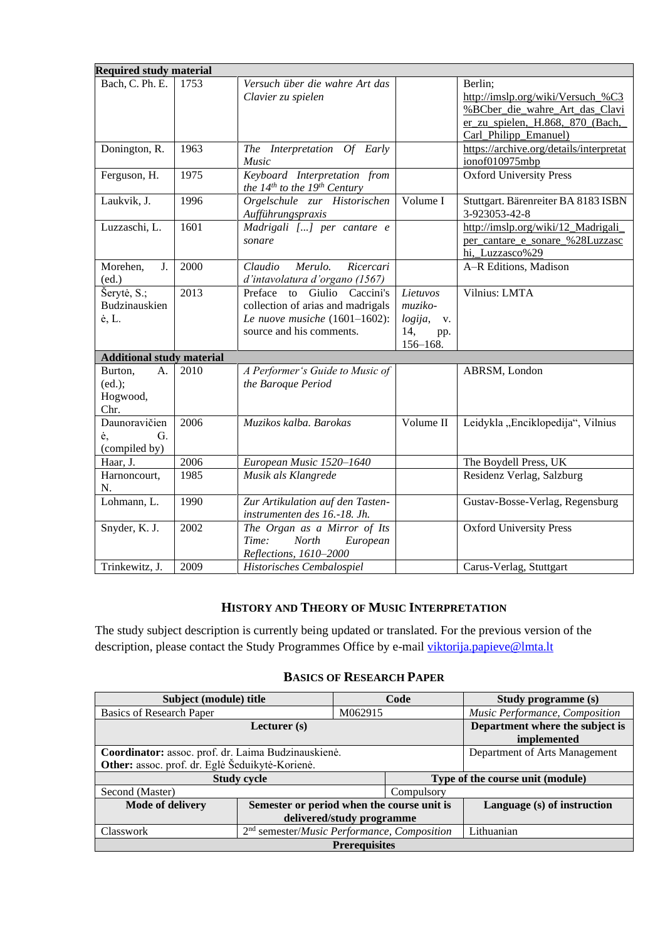| <b>Required study material</b>              |      |                                                                                                                                     |                                                                |                                                                                                                                             |
|---------------------------------------------|------|-------------------------------------------------------------------------------------------------------------------------------------|----------------------------------------------------------------|---------------------------------------------------------------------------------------------------------------------------------------------|
| Bach, C. Ph. E.                             | 1753 | Versuch über die wahre Art das<br>Clavier zu spielen                                                                                |                                                                | Berlin;<br>http://imslp.org/wiki/Versuch_%C3<br>%BCber die wahre Art das Clavi<br>er zu spielen, H.868, 870 (Bach,<br>Carl_Philipp_Emanuel) |
| Donington, R.                               | 1963 | The Interpretation Of Early<br>Music                                                                                                |                                                                | https://archive.org/details/interpretat<br>ionof010975mbp                                                                                   |
| Ferguson, H.                                | 1975 | Keyboard Interpretation from<br>the $14^{th}$ to the $19^{th}$ Century                                                              |                                                                | <b>Oxford University Press</b>                                                                                                              |
| Laukvik, J.                                 | 1996 | Orgelschule zur Historischen<br>Aufführungspraxis                                                                                   | Volume I                                                       | Stuttgart. Bärenreiter BA 8183 ISBN<br>3-923053-42-8                                                                                        |
| Luzzaschi, L.                               | 1601 | Madrigali [] per cantare e<br>sonare                                                                                                |                                                                | http://imslp.org/wiki/12_Madrigali_<br>per_cantare_e_sonare_%28Luzzasc<br>hi, Luzzasco%29                                                   |
| J.<br>Morehen,<br>(ed.)                     | 2000 | Merulo.<br>Claudio<br>Ricercari<br>d'intavolatura d'organo (1567)                                                                   |                                                                | A-R Editions, Madison                                                                                                                       |
| Šerytė, S.;<br>Budzinauskien<br>ė, L.       | 2013 | to Giulio Caccini's<br>Preface<br>collection of arias and madrigals<br>Le nuove musiche $(1601-1602)$ :<br>source and his comments. | Lietuvos<br>muziko-<br>logija,<br>V.<br>14,<br>pp.<br>156-168. | Vilnius: LMTA                                                                                                                               |
| <b>Additional study material</b>            |      |                                                                                                                                     |                                                                |                                                                                                                                             |
| Burton,<br>A.<br>(ed.);<br>Hogwood,<br>Chr. | 2010 | A Performer's Guide to Music of<br>the Baroque Period                                                                               |                                                                | ABRSM, London                                                                                                                               |
| Daunoravičien<br>G.<br>ė,<br>(compiled by)  | 2006 | Muzikos kalba. Barokas                                                                                                              | Volume II                                                      | Leidykla "Enciklopedija", Vilnius                                                                                                           |
| Haar, J.                                    | 2006 | European Music 1520-1640                                                                                                            |                                                                | The Boydell Press, UK                                                                                                                       |
| Harnoncourt,<br>N.                          | 1985 | Musik als Klangrede                                                                                                                 |                                                                | Residenz Verlag, Salzburg                                                                                                                   |
| Lohmann, L.                                 | 1990 | Zur Artikulation auf den Tasten-<br>instrumenten des 16.-18. Jh.                                                                    |                                                                | Gustav-Bosse-Verlag, Regensburg                                                                                                             |
| Snyder, K. J.                               | 2002 | The Organ as a Mirror of Its<br>Time:<br>North<br>European<br>Reflections, 1610-2000                                                |                                                                | <b>Oxford University Press</b>                                                                                                              |
| Trinkewitz, J.                              | 2009 | Historisches Cembalospiel                                                                                                           |                                                                | Carus-Verlag, Stuttgart                                                                                                                     |

### **HISTORY AND THEORY OF MUSIC INTERPRETATION**

<span id="page-8-0"></span>The study subject description is currently being updated or translated. For the previous version of the description, please contact the Study Programmes Office by e-mail [viktorija.papieve@lmta.lt](mailto:viktorija.papieve@lmta.lt)

### **BASICS OF RESEARCH PAPER**

<span id="page-8-1"></span>

| Subject (module) title                              |                                                               |                           | Code                           | <b>Study programme (s)</b>       |  |  |  |  |  |  |
|-----------------------------------------------------|---------------------------------------------------------------|---------------------------|--------------------------------|----------------------------------|--|--|--|--|--|--|
| Basics of Research Paper                            |                                                               | M062915                   | Music Performance, Composition |                                  |  |  |  |  |  |  |
|                                                     | Department where the subject is<br>implemented                |                           |                                |                                  |  |  |  |  |  |  |
| Coordinator: assoc. prof. dr. Laima Budzinauskienė. |                                                               |                           | Department of Arts Management  |                                  |  |  |  |  |  |  |
| Other: assoc. prof. dr. Eglė Šeduikytė-Korienė.     |                                                               |                           |                                |                                  |  |  |  |  |  |  |
|                                                     | <b>Study cycle</b>                                            |                           |                                | Type of the course unit (module) |  |  |  |  |  |  |
| Second (Master)                                     |                                                               |                           | Compulsory                     |                                  |  |  |  |  |  |  |
| <b>Mode of delivery</b>                             | Semester or period when the course unit is                    |                           |                                | Language (s) of instruction      |  |  |  |  |  |  |
|                                                     |                                                               | delivered/study programme |                                |                                  |  |  |  |  |  |  |
| <b>Classwork</b>                                    | $2nd$ semester/ <i>Music Performance</i> , <i>Composition</i> |                           | Lithuanian                     |                                  |  |  |  |  |  |  |
|                                                     | <b>Prerequisites</b>                                          |                           |                                |                                  |  |  |  |  |  |  |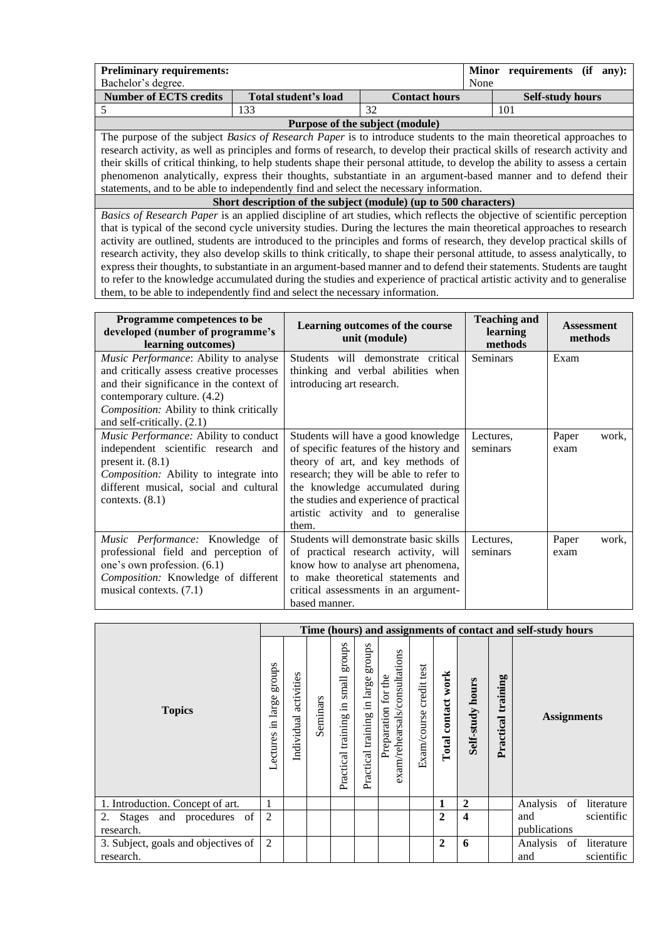| <b>Preliminary requirements:</b>                                                                                          |                      |                                 | <b>Minor</b> | requirements (if<br>$an v$ :                                                                                                  |  |  |  |
|---------------------------------------------------------------------------------------------------------------------------|----------------------|---------------------------------|--------------|-------------------------------------------------------------------------------------------------------------------------------|--|--|--|
| Bachelor's degree.                                                                                                        |                      |                                 | None         |                                                                                                                               |  |  |  |
| <b>Number of ECTS credits</b>                                                                                             | Total student's load | <b>Contact hours</b>            |              | <b>Self-study hours</b>                                                                                                       |  |  |  |
|                                                                                                                           | 133                  | 32                              | 101          |                                                                                                                               |  |  |  |
|                                                                                                                           |                      | Purpose of the subject (module) |              |                                                                                                                               |  |  |  |
| The purpose of the subject <i>Basics of Research Paper</i> is to introduce students to the main theoretical approaches to |                      |                                 |              |                                                                                                                               |  |  |  |
|                                                                                                                           |                      |                                 |              | research activity, as well as principles and forms of research, to develop their practical skills of research activity and    |  |  |  |
|                                                                                                                           |                      |                                 |              | their skills of critical thinking, to help students shape their personal attitude, to develop the ability to assess a certain |  |  |  |
|                                                                                                                           |                      |                                 |              | phenomenon analytically, express their thoughts, substantiate in an argument-based manner and to defend their                 |  |  |  |
| statements, and to be able to independently find and select the necessary information.                                    |                      |                                 |              |                                                                                                                               |  |  |  |
| Short description of the subject (module) (up to 500 characters)                                                          |                      |                                 |              |                                                                                                                               |  |  |  |
| Basics of Research Paper is an applied discipline of art studies, which reflects the objective of scientific perception   |                      |                                 |              |                                                                                                                               |  |  |  |
|                                                                                                                           |                      |                                 |              | that is typical of the second cycle university studies. During the lectures the main theoretical approaches to research       |  |  |  |

activity are outlined, students are introduced to the principles and forms of research, they develop practical skills of research activity, they also develop skills to think critically, to shape their personal attitude, to assess analytically, to express their thoughts, to substantiate in an argument-based manner and to defend their statements. Students are taught to refer to the knowledge accumulated during the studies and experience of practical artistic activity and to generalise them, to be able to independently find and select the necessary information.

| Programme competences to be<br>developed (number of programme's<br>learning outcomes)                                                                                                                                                  | Learning outcomes of the course<br>unit (module)                                                                                                                                                                                                                                              | <b>Teaching and</b><br>learning<br>methods | <b>Assessment</b><br>methods |
|----------------------------------------------------------------------------------------------------------------------------------------------------------------------------------------------------------------------------------------|-----------------------------------------------------------------------------------------------------------------------------------------------------------------------------------------------------------------------------------------------------------------------------------------------|--------------------------------------------|------------------------------|
| Music Performance: Ability to analyse<br>and critically assess creative processes<br>and their significance in the context of<br>contemporary culture. (4.2)<br>Composition: Ability to think critically<br>and self-critically. (2.1) | Students will demonstrate critical<br>thinking and verbal abilities when<br>introducing art research.                                                                                                                                                                                         | <b>Seminars</b>                            | Exam                         |
| Music Performance: Ability to conduct<br>independent scientific research and<br>present it. $(8.1)$<br><i>Composition:</i> Ability to integrate into<br>different musical, social and cultural<br>contexts. $(8.1)$                    | Students will have a good knowledge<br>of specific features of the history and<br>theory of art, and key methods of<br>research; they will be able to refer to<br>the knowledge accumulated during<br>the studies and experience of practical<br>artistic activity and to generalise<br>them. | Lectures,<br>seminars                      | Paper<br>work,<br>exam       |
| Music Performance: Knowledge<br>of<br>professional field and perception of<br>one's own profession. (6.1)<br>Composition: Knowledge of different<br>musical contexts. (7.1)                                                            | Students will demonstrate basic skills<br>of practical research activity, will<br>know how to analyse art phenomena,<br>to make theoretical statements and<br>critical assessments in an argument-<br>based manner.                                                                           | Lectures,<br>seminars                      | Paper<br>work,<br>exam       |

|                                     |                                  |                          |          |                                                |                                       |                                                      |                            |                       |                         |                    | Time (hours) and assignments of contact and self-study hours |
|-------------------------------------|----------------------------------|--------------------------|----------|------------------------------------------------|---------------------------------------|------------------------------------------------------|----------------------------|-----------------------|-------------------------|--------------------|--------------------------------------------------------------|
| <b>Topics</b>                       | sdnor<br>large<br>Ξ.<br>Lectures | activities<br>Individual | Seminars | schous<br>small<br>$\Xi$<br>Practical training | sqnorg<br>Practical training in large | exam/rehearsals/consultations<br>Preparation for the | credit test<br>Exam/course | work<br>Total contact | <b>Self-study hours</b> | Practical training | <b>Assignments</b>                                           |
| 1. Introduction. Concept of art.    |                                  |                          |          |                                                |                                       |                                                      |                            |                       | $\overline{2}$          |                    | Analysis of literature                                       |
| 2. Stages and procedures of         | $\overline{c}$                   |                          |          |                                                |                                       |                                                      |                            | 2                     | $\overline{\mathbf{4}}$ |                    | and<br>scientific                                            |
| research.                           |                                  |                          |          |                                                |                                       |                                                      |                            |                       |                         |                    | publications                                                 |
| 3. Subject, goals and objectives of | $\overline{2}$                   |                          |          |                                                |                                       |                                                      |                            | $\mathbf{2}$          | 6                       |                    | Analysis of literature                                       |
| research.                           |                                  |                          |          |                                                |                                       |                                                      |                            |                       |                         |                    | and<br>scientific                                            |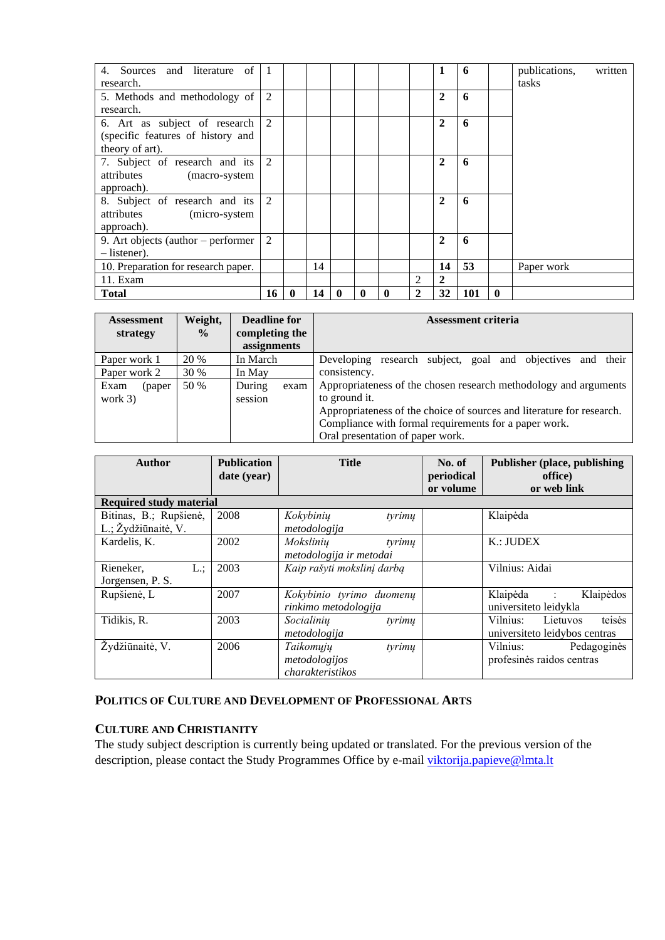| 4. Sources and literature of 1         |    |              |    |              |   |             |              | 1                | 6   |              | publications, | written |
|----------------------------------------|----|--------------|----|--------------|---|-------------|--------------|------------------|-----|--------------|---------------|---------|
| research.                              |    |              |    |              |   |             |              |                  |     |              | tasks         |         |
| 5. Methods and methodology of          | 2  |              |    |              |   |             |              | $\mathbf{2}$     | 6   |              |               |         |
| research.                              |    |              |    |              |   |             |              |                  |     |              |               |         |
| 6. Art as subject of research $\mid$ 2 |    |              |    |              |   |             |              | $\boldsymbol{2}$ | 6   |              |               |         |
| (specific features of history and      |    |              |    |              |   |             |              |                  |     |              |               |         |
| theory of art).                        |    |              |    |              |   |             |              |                  |     |              |               |         |
| 7. Subject of research and its $ 2$    |    |              |    |              |   |             |              | $\mathbf{2}$     | 6   |              |               |         |
| attributes (macro-system               |    |              |    |              |   |             |              |                  |     |              |               |         |
| approach).                             |    |              |    |              |   |             |              |                  |     |              |               |         |
| 8. Subject of research and its 2       |    |              |    |              |   |             |              | $\mathbf{2}$     | 6   |              |               |         |
| attributes (micro-system               |    |              |    |              |   |             |              |                  |     |              |               |         |
| approach).                             |    |              |    |              |   |             |              |                  |     |              |               |         |
| 9. Art objects (author – performer     | 2  |              |    |              |   |             |              | $\mathbf{2}$     | 6   |              |               |         |
| $-$ listener).                         |    |              |    |              |   |             |              |                  |     |              |               |         |
| 10. Preparation for research paper.    |    |              | 14 |              |   |             |              | 14               | 53  |              | Paper work    |         |
| 11. Exam                               |    |              |    |              |   |             | 2            | $\mathbf{2}$     |     |              |               |         |
| <b>Total</b>                           | 16 | $\mathbf{0}$ | 14 | $\mathbf{0}$ | 0 | $\mathbf 0$ | $\mathbf{2}$ | 32               | 101 | $\mathbf{0}$ |               |         |

| <b>Assessment</b><br>strategy | Weight,<br>$\frac{6}{9}$ | Deadline for<br>completing the<br>assignments | <b>Assessment criteria</b>                                                                                                                                                                                                                              |
|-------------------------------|--------------------------|-----------------------------------------------|---------------------------------------------------------------------------------------------------------------------------------------------------------------------------------------------------------------------------------------------------------|
| Paper work 1                  | <b>20 %</b>              | In March                                      | Developing research subject, goal and objectives and their                                                                                                                                                                                              |
| Paper work 2                  | 30 %                     | In May                                        | consistency.                                                                                                                                                                                                                                            |
| Exam<br>(paper<br>work $3)$   | 50 %                     | During<br>exam<br>session                     | Appropriateness of the chosen research methodology and arguments<br>to ground it.<br>Appropriateness of the choice of sources and literature for research.<br>Compliance with formal requirements for a paper work.<br>Oral presentation of paper work. |

| Author                                        | <b>Publication</b><br>date (year) | <b>Title</b>                                             | No. of<br>periodical<br>or volume | <b>Publisher (place, publishing)</b><br>office)<br>or web link |
|-----------------------------------------------|-----------------------------------|----------------------------------------------------------|-----------------------------------|----------------------------------------------------------------|
| <b>Required study material</b>                |                                   |                                                          |                                   |                                                                |
| Bitinas, B.; Rupšienė,<br>L.; Žydžiūnaitė, V. | 2008                              | Kokybinių<br>tyrimu<br>metodologija                      |                                   | Klaipėda                                                       |
| Kardelis, K.                                  | 2002                              | Mokslinių<br>tyrimu<br>metodologija ir metodai           |                                   | K.: JUDEX                                                      |
| L:<br>Rieneker,<br>Jorgensen, P. S.           | 2003                              | Kaip rašyti mokslinį darbą                               |                                   | Vilnius: Aidai                                                 |
| Rupšienė, L                                   | 2007                              | Kokybinio tyrimo duomenų<br>rinkimo metodologija         |                                   | Klaipėdos<br>Klaipėda :<br>universiteto leidykla               |
| Tidikis, R.                                   | 2003                              | Socialinių<br>tyrimu<br>metodologija                     |                                   | teisės<br>Vilnius: Lietuvos<br>universite to leidybos centras  |
| Žydžiūnaitė, V.                               | 2006                              | Taikomųjų<br>tyrimu<br>metodologijos<br>charakteristikos |                                   | Vilnius:<br>Pedagoginės<br>profesinės raidos centras           |

#### <span id="page-10-0"></span>**POLITICS OF CULTURE AND DEVELOPMENT OF PROFESSIONAL ARTS**

### <span id="page-10-1"></span>**CULTURE AND CHRISTIANITY**

The study subject description is currently being updated or translated. For the previous version of the description, please contact the Study Programmes Office by e-mail [viktorija.papieve@lmta.lt](mailto:viktorija.papieve@lmta.lt)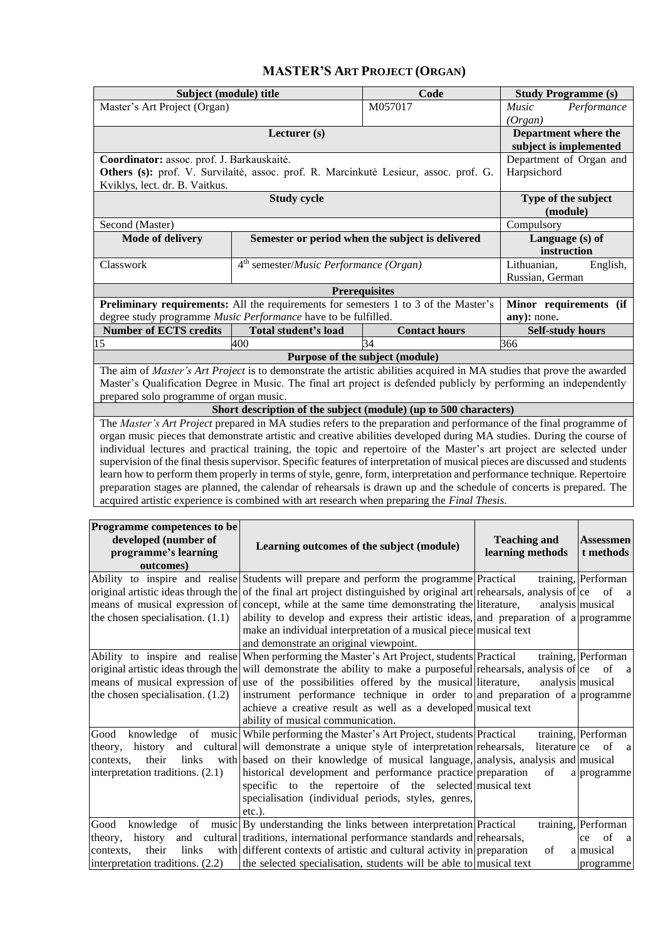## **MASTER'S ART PROJECT (ORGAN)**

<span id="page-11-0"></span>

| Subject (module) title                                                                                                       | <b>Study Programme (s)</b>                                 |                                                                                                                               |                                |  |  |  |  |
|------------------------------------------------------------------------------------------------------------------------------|------------------------------------------------------------|-------------------------------------------------------------------------------------------------------------------------------|--------------------------------|--|--|--|--|
| Master's Art Project (Organ)                                                                                                 |                                                            | M057017                                                                                                                       | <b>Music</b><br>Performance    |  |  |  |  |
|                                                                                                                              | (Organ)                                                    |                                                                                                                               |                                |  |  |  |  |
|                                                                                                                              | Department where the<br>subject is implemented             |                                                                                                                               |                                |  |  |  |  |
| Coordinator: assoc. prof. J. Barkauskaitė.                                                                                   |                                                            |                                                                                                                               | Department of Organ and        |  |  |  |  |
|                                                                                                                              |                                                            | Others (s): prof. V. Survilaitė, assoc. prof. R. Marcinkutė Lesieur, assoc. prof. G.                                          | Harpsichord                    |  |  |  |  |
| Kviklys, lect. dr. B. Vaitkus.                                                                                               |                                                            |                                                                                                                               |                                |  |  |  |  |
|                                                                                                                              | <b>Study cycle</b>                                         |                                                                                                                               | Type of the subject            |  |  |  |  |
|                                                                                                                              |                                                            |                                                                                                                               | (module)                       |  |  |  |  |
| Second (Master)                                                                                                              |                                                            |                                                                                                                               | Compulsory                     |  |  |  |  |
| <b>Mode of delivery</b>                                                                                                      |                                                            | Semester or period when the subject is delivered                                                                              | Language (s) of<br>instruction |  |  |  |  |
| Classwork                                                                                                                    | 4 <sup>th</sup> semester/ <i>Music Performance</i> (Organ) |                                                                                                                               | Lithuanian,<br>English,        |  |  |  |  |
|                                                                                                                              |                                                            |                                                                                                                               | Russian, German                |  |  |  |  |
|                                                                                                                              |                                                            | <b>Prerequisites</b>                                                                                                          |                                |  |  |  |  |
|                                                                                                                              |                                                            | <b>Preliminary requirements:</b> All the requirements for semesters 1 to 3 of the Master's                                    | Minor requirements (if         |  |  |  |  |
| degree study programme Music Performance have to be fulfilled.                                                               |                                                            |                                                                                                                               | any): none.                    |  |  |  |  |
| <b>Number of ECTS credits</b>                                                                                                | <b>Total student's load</b>                                | <b>Contact hours</b>                                                                                                          | <b>Self-study hours</b>        |  |  |  |  |
| 15                                                                                                                           | 400                                                        | 34                                                                                                                            | 366                            |  |  |  |  |
|                                                                                                                              |                                                            | Purpose of the subject (module)                                                                                               |                                |  |  |  |  |
|                                                                                                                              |                                                            | The aim of <i>Master's Art Project</i> is to demonstrate the artistic abilities acquired in MA studies that prove the awarded |                                |  |  |  |  |
|                                                                                                                              |                                                            | Master's Qualification Degree in Music. The final art project is defended publicly by performing an independently             |                                |  |  |  |  |
| prepared solo programme of organ music.                                                                                      |                                                            |                                                                                                                               |                                |  |  |  |  |
|                                                                                                                              |                                                            | Short description of the subject (module) (up to 500 characters)                                                              |                                |  |  |  |  |
|                                                                                                                              |                                                            | The Master's Art Project prepared in MA studies refers to the preparation and performance of the final programme of           |                                |  |  |  |  |
|                                                                                                                              |                                                            | organ music pieces that demonstrate artistic and creative abilities developed during MA studies. During the course of         |                                |  |  |  |  |
| individual lectures and practical training, the topic and repertoire of the Master's art project are selected under          |                                                            |                                                                                                                               |                                |  |  |  |  |
| supervision of the final thesis supervisor. Specific features of interpretation of musical pieces are discussed and students |                                                            |                                                                                                                               |                                |  |  |  |  |
| learn how to perform them properly in terms of style, genre, form, interpretation and performance technique. Repertoire      |                                                            |                                                                                                                               |                                |  |  |  |  |
|                                                                                                                              |                                                            | preparation stages are planned, the calendar of rehearsals is drawn up and the schedule of concerts is prepared. The          |                                |  |  |  |  |
|                                                                                                                              |                                                            | acquired artistic experience is combined with art research when preparing the <i>Final Thesis</i> .                           |                                |  |  |  |  |
|                                                                                                                              |                                                            |                                                                                                                               |                                |  |  |  |  |

| Programme competences to be<br>developed (number of<br>programme's learning<br>outcomes) | Learning outcomes of the subject (module)                                                                                       | <b>Teaching and</b><br>learning methods | <b>Assessmen</b><br>t methods |
|------------------------------------------------------------------------------------------|---------------------------------------------------------------------------------------------------------------------------------|-----------------------------------------|-------------------------------|
|                                                                                          | Ability to inspire and realise Students will prepare and perform the programme Practical                                        |                                         | training, Performan           |
|                                                                                          | original artistic ideas through the of the final art project distinguished by original art rehearsals, analysis of $ ce\;$ of a |                                         |                               |
|                                                                                          | means of musical expression of concept, while at the same time demonstrating the literature,                                    |                                         | analysis musical              |
| the chosen specialisation. $(1.1)$                                                       | ability to develop and express their artistic ideas, and preparation of a programme                                             |                                         |                               |
|                                                                                          | make an individual interpretation of a musical piece musical text                                                               |                                         |                               |
|                                                                                          | and demonstrate an original viewpoint.                                                                                          |                                         |                               |
|                                                                                          | Ability to inspire and realise When performing the Master's Art Project, students Practical                                     |                                         | training, Performan           |
|                                                                                          | original artistic ideas through the will demonstrate the ability to make a purposeful rehearsals, analysis of ce of a           |                                         |                               |
|                                                                                          | means of musical expression of use of the possibilities offered by the musical literature,                                      | analysis musical                        |                               |
| the chosen specialisation. $(1.2)$                                                       | instrument performance technique in order to and preparation of a programme                                                     |                                         |                               |
|                                                                                          | achieve a creative result as well as a developed musical text                                                                   |                                         |                               |
|                                                                                          | ability of musical communication.                                                                                               |                                         |                               |
| Good                                                                                     | knowledge of music While performing the Master's Art Project, students Practical                                                |                                         | training, Performan           |
| theory,                                                                                  | history and cultural will demonstrate a unique style of interpretation rehearsals,                                              | literature ce                           | of a                          |
| links<br>contexts.<br>their                                                              | with based on their knowledge of musical language, analysis, analysis and musical                                               |                                         |                               |
| interpretation traditions. (2.1)                                                         | historical development and performance practice preparation                                                                     | of                                      | a programme                   |
|                                                                                          | specific to the repertoire of the selected musical text                                                                         |                                         |                               |
|                                                                                          | specialisation (individual periods, styles, genres,                                                                             |                                         |                               |
|                                                                                          | $etc.$ ).                                                                                                                       |                                         |                               |
| Good                                                                                     | knowledge of music By understanding the links between interpretation Practical                                                  |                                         | training, Performan           |
| theory.                                                                                  | history and cultural traditions, international performance standards and rehearsals,                                            |                                         | of<br>a<br>ce                 |
| links<br>their<br>contexts.                                                              | with different contexts of artistic and cultural activity in preparation                                                        | of                                      | almusical                     |
| interpretation traditions. (2.2)                                                         | the selected specialisation, students will be able to musical text                                                              |                                         | programme                     |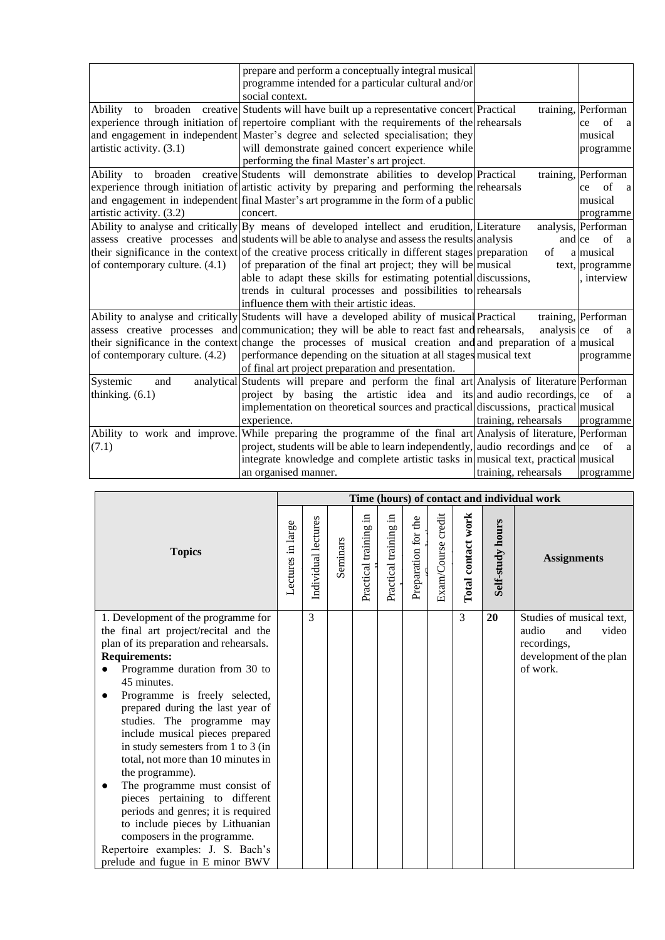|                                | prepare and perform a conceptually integral musical                                                           |                      |                           |
|--------------------------------|---------------------------------------------------------------------------------------------------------------|----------------------|---------------------------|
|                                | programme intended for a particular cultural and/or                                                           |                      |                           |
|                                | social context.                                                                                               |                      |                           |
| Ability<br>to                  | broaden creative Students will have built up a representative concert Practical                               |                      | training, Performan       |
|                                | experience through initiation of repertoire compliant with the requirements of the rehearsals                 |                      | of<br>ce<br><sub>a</sub>  |
|                                | and engagement in independent Master's degree and selected specialisation; they                               |                      | musical                   |
| artistic activity. (3.1)       | will demonstrate gained concert experience while                                                              |                      | programme                 |
|                                | performing the final Master's art project.                                                                    |                      |                           |
|                                | Ability to broaden creative Students will demonstrate abilities to develop Practical                          |                      | training, Performan       |
|                                | experience through initiation of artistic activity by preparing and performing the rehearsals                 |                      | $\sigma$ f<br>ce<br>a     |
|                                | and engagement in independent final Master's art programme in the form of a public                            |                      | musical                   |
| artistic activity. (3.2)       | concert.                                                                                                      |                      | programme                 |
|                                | Ability to analyse and critically By means of developed intellect and erudition, Literature                   |                      | analysis, Performan       |
|                                | assess creative processes and students will be able to analyse and assess the results analysis                |                      | and ce of<br><sub>a</sub> |
|                                | their significance in the context of the creative process critically in different stages preparation          | $\sigma$ f           | almusical                 |
| of contemporary culture. (4.1) | of preparation of the final art project; they will be musical                                                 |                      | text, programme           |
|                                | able to adapt these skills for estimating potential discussions,                                              |                      | interview                 |
|                                | trends in cultural processes and possibilities to rehearsals                                                  |                      |                           |
|                                | influence them with their artistic ideas.                                                                     |                      |                           |
|                                | Ability to analyse and critically Students will have a developed ability of musical Practical                 |                      | training, Performan       |
|                                | assess creative processes and communication; they will be able to react fast and rehearsals,                  | analysis ce          | of<br>a                   |
|                                | their significance in the context change the processes of musical creation and and preparation of a musical   |                      |                           |
| of contemporary culture. (4.2) | performance depending on the situation at all stages musical text                                             |                      | programme                 |
|                                | of final art project preparation and presentation.                                                            |                      |                           |
| Systemic<br>and                | analytical Students will prepare and perform the final art Analysis of literature Performan                   |                      |                           |
| thinking. $(6.1)$              | project by basing the artistic idea and its and audio recordings, ce                                          |                      | of<br><sub>a</sub>        |
|                                | implementation on theoretical sources and practical discussions, practical musical                            |                      |                           |
|                                | experience.                                                                                                   | training, rehearsals | programme                 |
|                                | Ability to work and improve. While preparing the programme of the final art Analysis of literature, Performan |                      |                           |
| (7.1)                          | project, students will be able to learn independently, audio recordings and $ c$ of                           |                      | <sub>a</sub>              |
|                                | integrate knowledge and complete artistic tasks in musical text, practical musical                            |                      |                           |
|                                | an organised manner.                                                                                          | training, rehearsals | programme                 |

|                                                                                                                                                                                                                                                                                                                                                                                                                                                                                                                                                                                                                              |                   |                     |          |                          |                          |                     |                    |                    |                  | Time (hours) of contact and individual work                                                             |
|------------------------------------------------------------------------------------------------------------------------------------------------------------------------------------------------------------------------------------------------------------------------------------------------------------------------------------------------------------------------------------------------------------------------------------------------------------------------------------------------------------------------------------------------------------------------------------------------------------------------------|-------------------|---------------------|----------|--------------------------|--------------------------|---------------------|--------------------|--------------------|------------------|---------------------------------------------------------------------------------------------------------|
| <b>Topics</b>                                                                                                                                                                                                                                                                                                                                                                                                                                                                                                                                                                                                                | Lectures in large | Individual lectures | Seminars | 크.<br>Practical training | 크.<br>Practical training | Preparation for the | Exam/Course credit | Total contact work | Self-study hours | <b>Assignments</b>                                                                                      |
| 1. Development of the programme for<br>the final art project/recital and the<br>plan of its preparation and rehearsals.<br><b>Requirements:</b><br>Programme duration from 30 to<br>45 minutes.<br>Programme is freely selected,<br>$\bullet$<br>prepared during the last year of<br>studies. The programme may<br>include musical pieces prepared<br>in study semesters from 1 to 3 (in<br>total, not more than 10 minutes in<br>the programme).<br>The programme must consist of<br>pieces pertaining to different<br>periods and genres; it is required<br>to include pieces by Lithuanian<br>composers in the programme. |                   | 3                   |          |                          |                          |                     |                    | $\overline{3}$     | 20               | Studies of musical text,<br>audio<br>and<br>video<br>recordings,<br>development of the plan<br>of work. |
| Repertoire examples: J. S. Bach's<br>prelude and fugue in E minor BWV                                                                                                                                                                                                                                                                                                                                                                                                                                                                                                                                                        |                   |                     |          |                          |                          |                     |                    |                    |                  |                                                                                                         |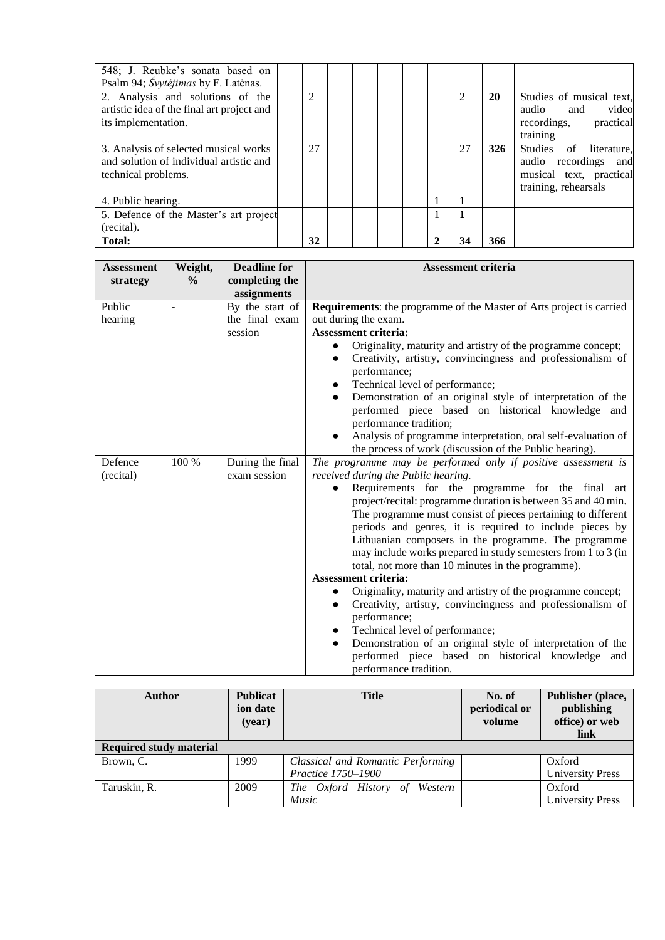| 548; J. Reubke's sonata based on<br>Psalm 94; Švytėjimas by F. Latėnas.                                 |    |  |  |    |           |                                                                                                      |
|---------------------------------------------------------------------------------------------------------|----|--|--|----|-----------|------------------------------------------------------------------------------------------------------|
| 2. Analysis and solutions of the<br>artistic idea of the final art project and<br>its implementation.   | 2  |  |  |    | <b>20</b> | Studies of musical text,<br>video<br>audio and<br>practical<br>recordings,<br>training               |
| 3. Analysis of selected musical works<br>and solution of individual artistic and<br>technical problems. | 27 |  |  | 27 | 326       | Studies of literature,<br>audio recordings<br>and<br>musical text, practical<br>training, rehearsals |
| 4. Public hearing.                                                                                      |    |  |  |    |           |                                                                                                      |
| 5. Defence of the Master's art project<br>(recital).                                                    |    |  |  |    |           |                                                                                                      |
| Total:                                                                                                  | 32 |  |  | 34 | 366       |                                                                                                      |

| <b>Assessment</b> | Weight,       | <b>Deadline for</b> | Assessment criteria                                                         |
|-------------------|---------------|---------------------|-----------------------------------------------------------------------------|
| strategy          | $\frac{0}{0}$ | completing the      |                                                                             |
|                   |               | assignments         |                                                                             |
| Public            |               | By the start of     | <b>Requirements:</b> the programme of the Master of Arts project is carried |
| hearing           |               | the final exam      | out during the exam.                                                        |
|                   |               | session             | <b>Assessment criteria:</b>                                                 |
|                   |               |                     | Originality, maturity and artistry of the programme concept;                |
|                   |               |                     | Creativity, artistry, convincingness and professionalism of                 |
|                   |               |                     | performance;                                                                |
|                   |               |                     | Technical level of performance;                                             |
|                   |               |                     | Demonstration of an original style of interpretation of the                 |
|                   |               |                     | performed piece based on historical knowledge and                           |
|                   |               |                     | performance tradition;                                                      |
|                   |               |                     | Analysis of programme interpretation, oral self-evaluation of               |
|                   |               |                     | the process of work (discussion of the Public hearing).                     |
| Defence           | 100 %         | During the final    | The programme may be performed only if positive assessment is               |
| (recital)         |               | exam session        | received during the Public hearing.                                         |
|                   |               |                     | Requirements for the programme for the final art                            |
|                   |               |                     | project/recital: programme duration is between 35 and 40 min.               |
|                   |               |                     | The programme must consist of pieces pertaining to different                |
|                   |               |                     | periods and genres, it is required to include pieces by                     |
|                   |               |                     | Lithuanian composers in the programme. The programme                        |
|                   |               |                     | may include works prepared in study semesters from 1 to 3 (in               |
|                   |               |                     | total, not more than 10 minutes in the programme).                          |
|                   |               |                     | <b>Assessment criteria:</b>                                                 |
|                   |               |                     | Originality, maturity and artistry of the programme concept;                |
|                   |               |                     | Creativity, artistry, convincingness and professionalism of<br>$\bullet$    |
|                   |               |                     | performance;                                                                |
|                   |               |                     | Technical level of performance;<br>$\bullet$                                |
|                   |               |                     | Demonstration of an original style of interpretation of the<br>$\bullet$    |
|                   |               |                     | performed piece based on historical knowledge and                           |
|                   |               |                     | performance tradition.                                                      |

| <b>Author</b>                  | <b>Publicat</b><br>ion date<br>(year) | <b>Title</b>                      | No. of<br>periodical or<br>volume | Publisher (place,<br>publishing<br>office) or web<br>link |
|--------------------------------|---------------------------------------|-----------------------------------|-----------------------------------|-----------------------------------------------------------|
| <b>Required study material</b> |                                       |                                   |                                   |                                                           |
| Brown, C.                      | 1999                                  | Classical and Romantic Performing |                                   | Oxford                                                    |
|                                |                                       | Practice 1750-1900                |                                   | <b>University Press</b>                                   |
| Taruskin, R.                   | 2009                                  | The Oxford History of Western     |                                   | Oxford                                                    |
|                                |                                       | <i>Music</i>                      |                                   | <b>University Press</b>                                   |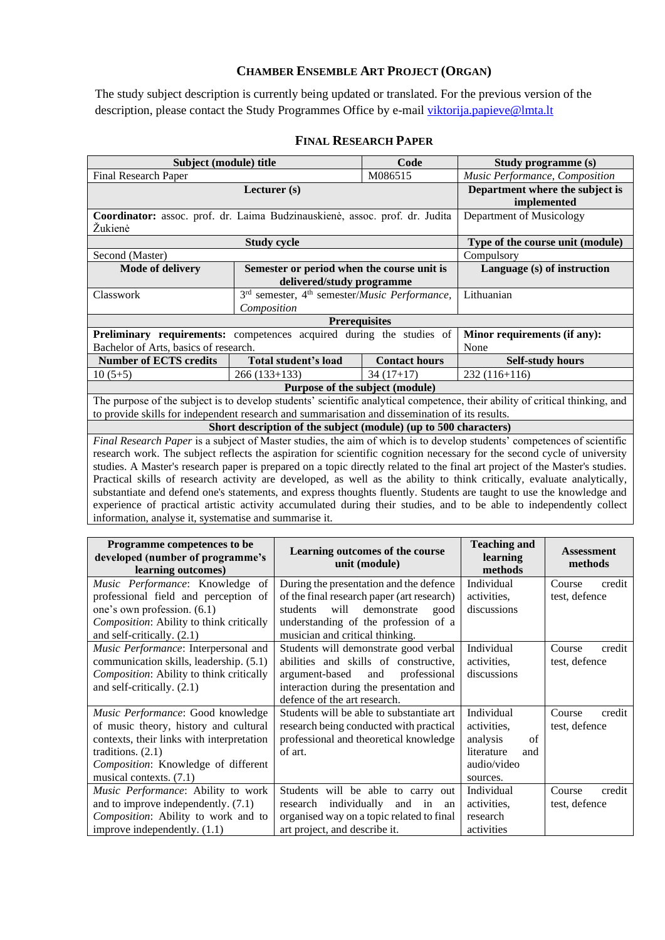## **CHAMBER ENSEMBLE ART PROJECT (ORGAN)**

<span id="page-14-0"></span>The study subject description is currently being updated or translated. For the previous version of the description, please contact the Study Programmes Office by e-mail [viktorija.papieve@lmta.lt](mailto:viktorija.papieve@lmta.lt)

<span id="page-14-1"></span>

| Subject (module) title                                                                                                  | Study programme (s)                                                            |                      |                                                                                                                              |  |  |  |  |  |  |
|-------------------------------------------------------------------------------------------------------------------------|--------------------------------------------------------------------------------|----------------------|------------------------------------------------------------------------------------------------------------------------------|--|--|--|--|--|--|
| <b>Final Research Paper</b>                                                                                             |                                                                                | M086515              | Music Performance, Composition                                                                                               |  |  |  |  |  |  |
|                                                                                                                         | Department where the subject is<br>implemented                                 |                      |                                                                                                                              |  |  |  |  |  |  |
| Coordinator: assoc. prof. dr. Laima Budzinauskienė, assoc. prof. dr. Judita<br>Žukienė                                  | Department of Musicology                                                       |                      |                                                                                                                              |  |  |  |  |  |  |
|                                                                                                                         | <b>Study cycle</b>                                                             |                      | Type of the course unit (module)                                                                                             |  |  |  |  |  |  |
| Second (Master)                                                                                                         |                                                                                |                      | Compulsory                                                                                                                   |  |  |  |  |  |  |
| <b>Mode of delivery</b>                                                                                                 | Semester or period when the course unit is                                     |                      | Language (s) of instruction                                                                                                  |  |  |  |  |  |  |
|                                                                                                                         | delivered/study programme                                                      |                      |                                                                                                                              |  |  |  |  |  |  |
| Classwork                                                                                                               | 3 <sup>rd</sup> semester, 4 <sup>th</sup> semester/ <i>Music Performance</i> , |                      | Lithuanian                                                                                                                   |  |  |  |  |  |  |
|                                                                                                                         | Composition                                                                    |                      |                                                                                                                              |  |  |  |  |  |  |
|                                                                                                                         | <b>Prerequisites</b>                                                           |                      |                                                                                                                              |  |  |  |  |  |  |
| Preliminary requirements: competences acquired during the studies of                                                    |                                                                                |                      | Minor requirements (if any):                                                                                                 |  |  |  |  |  |  |
| Bachelor of Arts, basics of research.                                                                                   |                                                                                |                      | None                                                                                                                         |  |  |  |  |  |  |
| <b>Number of ECTS credits</b>                                                                                           | <b>Total student's load</b>                                                    | <b>Contact hours</b> | <b>Self-study hours</b>                                                                                                      |  |  |  |  |  |  |
| $10(5+5)$                                                                                                               | $266(133+133)$                                                                 | $34(17+17)$          | 232 (116+116)                                                                                                                |  |  |  |  |  |  |
|                                                                                                                         | Purpose of the subject (module)                                                |                      |                                                                                                                              |  |  |  |  |  |  |
|                                                                                                                         |                                                                                |                      | The purpose of the subject is to develop students' scientific analytical competence, their ability of critical thinking, and |  |  |  |  |  |  |
| to provide skills for independent research and summarisation and dissemination of its results.                          |                                                                                |                      |                                                                                                                              |  |  |  |  |  |  |
|                                                                                                                         | Short description of the subject (module) (up to 500 characters)               |                      |                                                                                                                              |  |  |  |  |  |  |
|                                                                                                                         |                                                                                |                      | Final Research Paper is a subject of Master studies, the aim of which is to develop students' competences of scientific      |  |  |  |  |  |  |
|                                                                                                                         |                                                                                |                      | research work. The subject reflects the aspiration for scientific cognition necessary for the second cycle of university     |  |  |  |  |  |  |
|                                                                                                                         |                                                                                |                      | studies. A Master's research paper is prepared on a topic directly related to the final art project of the Master's studies. |  |  |  |  |  |  |
| Practical skills of research activity are developed, as well as the ability to think critically, evaluate analytically, |                                                                                |                      |                                                                                                                              |  |  |  |  |  |  |
| substantiate and defend one's statements, and express thoughts fluently. Students are taught to use the knowledge and   |                                                                                |                      |                                                                                                                              |  |  |  |  |  |  |
|                                                                                                                         |                                                                                |                      | experience of practical artistic activity accumulated during their studies, and to be able to independently collect          |  |  |  |  |  |  |
| information, analyse it, systematise and summarise it.                                                                  |                                                                                |                      |                                                                                                                              |  |  |  |  |  |  |
|                                                                                                                         |                                                                                |                      |                                                                                                                              |  |  |  |  |  |  |

#### **FINAL RESEARCH PAPER**

| Programme competences to be<br>developed (number of programme's<br>learning outcomes) | Learning outcomes of the course<br>unit (module) | <b>Teaching and</b><br>learning<br>methods | <b>Assessment</b><br>methods |
|---------------------------------------------------------------------------------------|--------------------------------------------------|--------------------------------------------|------------------------------|
| Music Performance: Knowledge of                                                       | During the presentation and the defence          | Individual                                 | Course<br>credit             |
| professional field and perception of                                                  | of the final research paper (art research)       | activities.                                | test, defence                |
| one's own profession. (6.1)                                                           | will<br>demonstrate<br>students<br>good          | discussions                                |                              |
| Composition: Ability to think critically                                              | understanding of the profession of a             |                                            |                              |
| and self-critically. (2.1)                                                            | musician and critical thinking.                  |                                            |                              |
| Music Performance: Interpersonal and                                                  | Students will demonstrate good verbal            | Individual                                 | Course<br>credit             |
| communication skills, leadership. (5.1)                                               | abilities and skills of constructive,            | activities.                                | test, defence                |
| Composition: Ability to think critically                                              | argument-based<br>and<br>professional            | discussions                                |                              |
| and self-critically. (2.1)                                                            | interaction during the presentation and          |                                            |                              |
|                                                                                       | defence of the art research.                     |                                            |                              |
| Music Performance: Good knowledge                                                     | Students will be able to substantiate art        | Individual                                 | credit<br>Course             |
| of music theory, history and cultural                                                 | research being conducted with practical          | activities.                                | test, defence                |
| contexts, their links with interpretation                                             | professional and theoretical knowledge           | analysis<br>of                             |                              |
| traditions. $(2.1)$                                                                   | of art.                                          | literature<br>and                          |                              |
| Composition: Knowledge of different                                                   |                                                  | audio/video                                |                              |
| musical contexts. $(7.1)$                                                             |                                                  | sources.                                   |                              |
| Music Performance: Ability to work                                                    | Students will be able to carry out               | Individual                                 | credit<br>Course             |
| and to improve independently. $(7.1)$                                                 | individually<br>and<br>research<br>in<br>an      | activities.                                | test, defence                |
| Composition: Ability to work and to                                                   | organised way on a topic related to final        | research                                   |                              |
| improve independently. $(1.1)$                                                        | art project, and describe it.                    | activities                                 |                              |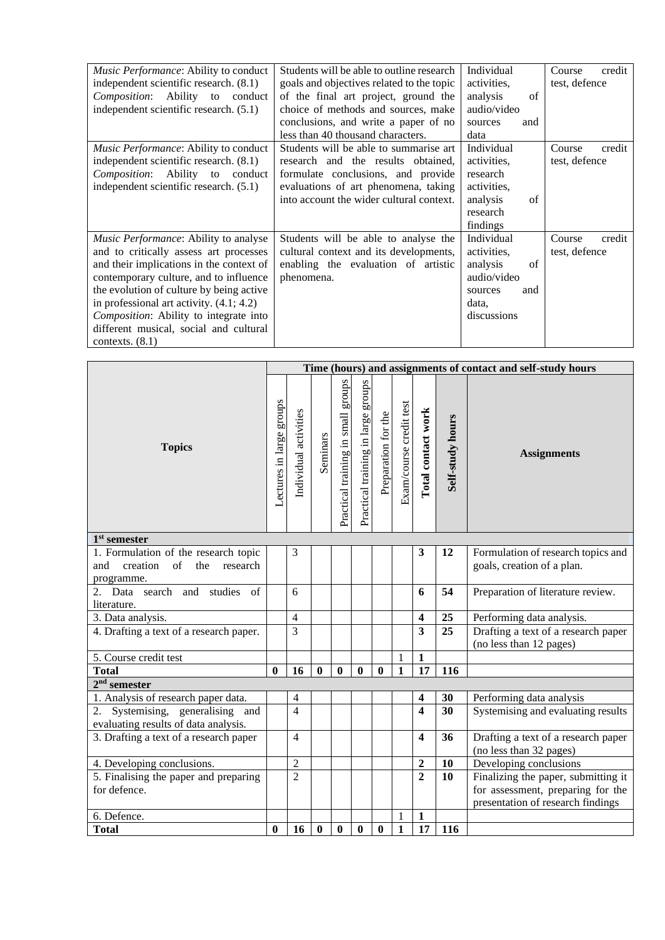| Music Performance: Ability to conduct<br>independent scientific research. (8.1)<br><i>Composition</i> : Ability to conduct<br>independent scientific research. (5.1)                                                                                                                                                                                                     | Students will be able to outline research<br>goals and objectives related to the topic<br>of the final art project, ground the<br>choice of methods and sources, make<br>conclusions, and write a paper of no<br>less than 40 thousand characters. | Individual<br>activities.<br>analysis<br>of<br>audio/video<br>sources<br>and<br>data                 | Course<br>credit<br>test, defence |
|--------------------------------------------------------------------------------------------------------------------------------------------------------------------------------------------------------------------------------------------------------------------------------------------------------------------------------------------------------------------------|----------------------------------------------------------------------------------------------------------------------------------------------------------------------------------------------------------------------------------------------------|------------------------------------------------------------------------------------------------------|-----------------------------------|
| <i>Music Performance:</i> Ability to conduct<br>independent scientific research. (8.1)<br><i>Composition</i> : Ability to conduct<br>independent scientific research. $(5.1)$                                                                                                                                                                                            | Students will be able to summarise art<br>research and the results obtained,<br>formulate conclusions, and provide<br>evaluations of art phenomena, taking<br>into account the wider cultural context.                                             | Individual<br>activities.<br>research<br>activities.<br>analysis<br>of<br>research<br>findings       | credit<br>Course<br>test, defence |
| Music Performance: Ability to analyse<br>and to critically assess art processes<br>and their implications in the context of<br>contemporary culture, and to influence<br>the evolution of culture by being active<br>in professional art activity. $(4.1; 4.2)$<br>Composition: Ability to integrate into<br>different musical, social and cultural<br>contexts. $(8.1)$ | Students will be able to analyse the<br>cultural context and its developments,<br>enabling the evaluation of artistic<br>phenomena.                                                                                                                | Individual<br>activities.<br>analysis<br>of<br>audio/video<br>and<br>sources<br>data,<br>discussions | Course<br>credit<br>test, defence |

|                                                                                                        |                          |                       |                  |                                        |                                    |                     |                         |                    |                  | Time (hours) and assignments of contact and self-study hours           |
|--------------------------------------------------------------------------------------------------------|--------------------------|-----------------------|------------------|----------------------------------------|------------------------------------|---------------------|-------------------------|--------------------|------------------|------------------------------------------------------------------------|
| <b>Topics</b>                                                                                          | Lectures in large groups | Individual activities | Seminars         | sdno.ra<br>Practical training in small | Practical training in large groups | Preparation for the | Exam/course credit test | Total contact work | Self-study hours | <b>Assignments</b>                                                     |
| $1st$ semester                                                                                         |                          |                       |                  |                                        |                                    |                     |                         |                    |                  |                                                                        |
| 1. Formulation of the research topic<br>creation<br>$\sigma$ f<br>the<br>research<br>and<br>programme. |                          | 3                     |                  |                                        |                                    |                     |                         | 3                  | 12               | Formulation of research topics and<br>goals, creation of a plan.       |
| search and studies of<br>2. Data<br>literature.                                                        |                          | 6                     |                  |                                        |                                    |                     |                         | 6                  | 54               | Preparation of literature review.                                      |
| 3. Data analysis.                                                                                      |                          | 4                     |                  |                                        |                                    |                     |                         | 4                  | 25               | Performing data analysis.                                              |
| 4. Drafting a text of a research paper.                                                                |                          | 3                     |                  |                                        |                                    |                     |                         | 3                  | 25               | Drafting a text of a research paper<br>(no less than 12 pages)         |
| 5. Course credit test                                                                                  |                          |                       |                  |                                        |                                    |                     | $\mathbf{1}$            | $\mathbf{1}$       |                  |                                                                        |
| <b>Total</b>                                                                                           | $\mathbf{0}$             | 16                    | $\mathbf{0}$     | $\mathbf{0}$                           | $\mathbf{0}$                       | $\mathbf{0}$        | $\mathbf{1}$            | 17                 | 116              |                                                                        |
| $2nd$ semester                                                                                         |                          |                       |                  |                                        |                                    |                     |                         |                    |                  |                                                                        |
| 1. Analysis of research paper data.                                                                    |                          | $\overline{4}$        |                  |                                        |                                    |                     |                         | 4                  | 30               | Performing data analysis                                               |
| Systemising, generalising and<br>2.<br>evaluating results of data analysis.                            |                          | $\overline{4}$        |                  |                                        |                                    |                     |                         | 4                  | 30               | Systemising and evaluating results                                     |
| 3. Drafting a text of a research paper                                                                 |                          | $\overline{4}$        |                  |                                        |                                    |                     |                         | 4                  | 36               | Drafting a text of a research paper<br>(no less than 32 pages)         |
| 4. Developing conclusions.                                                                             |                          | $\overline{2}$        |                  |                                        |                                    |                     |                         | $\boldsymbol{2}$   | 10               | Developing conclusions                                                 |
| 5. Finalising the paper and preparing                                                                  |                          | $\overline{2}$        |                  |                                        |                                    |                     |                         | $\overline{2}$     | 10               | Finalizing the paper, submitting it                                    |
| for defence.                                                                                           |                          |                       |                  |                                        |                                    |                     |                         |                    |                  | for assessment, preparing for the<br>presentation of research findings |
| 6. Defence.                                                                                            |                          |                       |                  |                                        |                                    |                     | 1                       | $\mathbf{1}$       |                  |                                                                        |
| <b>Total</b>                                                                                           | $\bf{0}$                 | 16                    | $\boldsymbol{0}$ | $\bf{0}$                               | $\bf{0}$                           | $\bf{0}$            | $\mathbf{1}$            | 17                 | 116              |                                                                        |